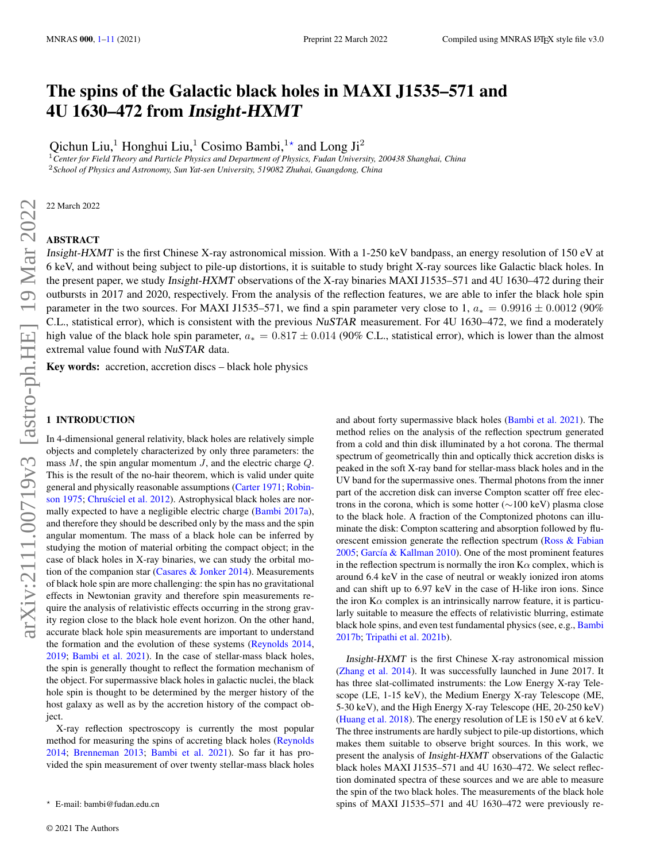# The spins of the Galactic black holes in MAXI J1535–571 and 4U 1630–472 from Insight-HXMT

Qichun Liu, $^1$  Honghui Liu, $^1$  Cosimo Bambi, $^{1\star}$  and Long Ji $^2$ 

<sup>1</sup>*Center for Field Theory and Particle Physics and Department of Physics, Fudan University, 200438 Shanghai, China* <sup>2</sup>*School of Physics and Astronomy, Sun Yat-sen University, 519082 Zhuhai, Guangdong, China*

22 March 2022

# ABSTRACT

Insight-HXMT is the first Chinese X-ray astronomical mission. With a 1-250 keV bandpass, an energy resolution of 150 eV at 6 keV, and without being subject to pile-up distortions, it is suitable to study bright X-ray sources like Galactic black holes. In the present paper, we study Insight-HXMT observations of the X-ray binaries MAXI J1535–571 and 4U 1630–472 during their outbursts in 2017 and 2020, respectively. From the analysis of the reflection features, we are able to infer the black hole spin parameter in the two sources. For MAXI J1535–571, we find a spin parameter very close to 1,  $a_* = 0.9916 \pm 0.0012$  (90%) C.L., statistical error), which is consistent with the previous NuSTAR measurement. For 4U 1630–472, we find a moderately high value of the black hole spin parameter,  $a_* = 0.817 \pm 0.014$  (90% C.L., statistical error), which is lower than the almost extremal value found with NuSTAR data.

Key words: accretion, accretion discs – black hole physics

## <span id="page-0-0"></span>1 INTRODUCTION

In 4-dimensional general relativity, black holes are relatively simple objects and completely characterized by only three parameters: the mass  $M$ , the spin angular momentum  $J$ , and the electric charge  $Q$ . This is the result of the no-hair theorem, which is valid under quite general and physically reasonable assumptions [\(Carter](#page-9-0) [1971;](#page-9-0) [Robin](#page-9-1)[son](#page-9-1) [1975;](#page-9-1) [Chrusciel et al.](#page-9-2) [2012\)](#page-9-2). Astrophysical black holes are normally expected to have a negligible electric charge [\(Bambi](#page-9-3) [2017a\)](#page-9-3), and therefore they should be described only by the mass and the spin angular momentum. The mass of a black hole can be inferred by studying the motion of material orbiting the compact object; in the case of black holes in X-ray binaries, we can study the orbital motion of the companion star (Casares  $&$  Jonker [2014\)](#page-9-4). Measurements of black hole spin are more challenging: the spin has no gravitational effects in Newtonian gravity and therefore spin measurements require the analysis of relativistic effects occurring in the strong gravity region close to the black hole event horizon. On the other hand, accurate black hole spin measurements are important to understand the formation and the evolution of these systems [\(Reynolds](#page-9-5) [2014,](#page-9-5) [2019;](#page-9-6) [Bambi et al.](#page-9-7) [2021\)](#page-9-7). In the case of stellar-mass black holes, the spin is generally thought to reflect the formation mechanism of the object. For supermassive black holes in galactic nuclei, the black hole spin is thought to be determined by the merger history of the host galaxy as well as by the accretion history of the compact object.

X-ray reflection spectroscopy is currently the most popular method for measuring the spins of accreting black holes [\(Reynolds](#page-9-5) [2014;](#page-9-5) [Brenneman](#page-9-8) [2013;](#page-9-8) [Bambi et al.](#page-9-7) [2021\)](#page-9-7). So far it has provided the spin measurement of over twenty stellar-mass black holes and about forty supermassive black holes [\(Bambi et al.](#page-9-7) [2021\)](#page-9-7). The method relies on the analysis of the reflection spectrum generated from a cold and thin disk illuminated by a hot corona. The thermal spectrum of geometrically thin and optically thick accretion disks is peaked in the soft X-ray band for stellar-mass black holes and in the UV band for the supermassive ones. Thermal photons from the inner part of the accretion disk can inverse Compton scatter off free electrons in the corona, which is some hotter (∼100 keV) plasma close to the black hole. A fraction of the Comptonized photons can illuminate the disk: Compton scattering and absorption followed by fluorescent emission generate the reflection spectrum [\(Ross & Fabian](#page-9-9) [2005;](#page-9-9) [García & Kallman](#page-9-10) [2010\)](#page-9-10). One of the most prominent features in the reflection spectrum is normally the iron  $K\alpha$  complex, which is around 6.4 keV in the case of neutral or weakly ionized iron atoms and can shift up to 6.97 keV in the case of H-like iron ions. Since the iron  $K\alpha$  complex is an intrinsically narrow feature, it is particularly suitable to measure the effects of relativistic blurring, estimate black hole spins, and even test fundamental physics (see, e.g., [Bambi](#page-9-11) [2017b;](#page-9-11) [Tripathi et al.](#page-9-12) [2021b\)](#page-9-12).

Insight-HXMT is the first Chinese X-ray astronomical mission [\(Zhang et al.](#page-10-0) [2014\)](#page-10-0). It was successfully launched in June 2017. It has three slat-collimated instruments: the Low Energy X-ray Telescope (LE, 1-15 keV), the Medium Energy X-ray Telescope (ME, 5-30 keV), and the High Energy X-ray Telescope (HE, 20-250 keV) [\(Huang et al.](#page-9-13) [2018\)](#page-9-13). The energy resolution of LE is 150 eV at 6 keV. The three instruments are hardly subject to pile-up distortions, which makes them suitable to observe bright sources. In this work, we present the analysis of Insight-HXMT observations of the Galactic black holes MAXI J1535–571 and 4U 1630–472. We select reflection dominated spectra of these sources and we are able to measure the spin of the two black holes. The measurements of the black hole spins of MAXI J1535–571 and 4U 1630–472 were previously re-

<sup>?</sup> E-mail: bambi@fudan.edu.cn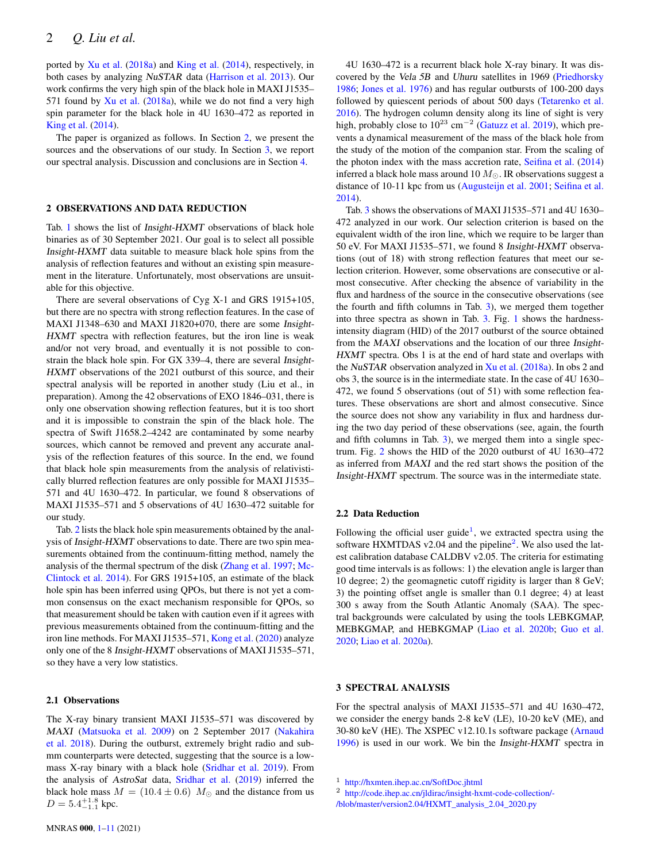ported by [Xu et al.](#page-9-14) [\(2018a\)](#page-9-14) and [King et al.](#page-9-15) [\(2014\)](#page-9-15), respectively, in both cases by analyzing NuSTAR data [\(Harrison et al.](#page-9-16) [2013\)](#page-9-16). Our work confirms the very high spin of the black hole in MAXI J1535– 571 found by [Xu et al.](#page-9-14) [\(2018a\)](#page-9-14), while we do not find a very high spin parameter for the black hole in 4U 1630–472 as reported in [King et al.](#page-9-15) [\(2014\)](#page-9-15).

The paper is organized as follows. In Section [2,](#page-1-0) we present the sources and the observations of our study. In Section [3,](#page-1-1) we report our spectral analysis. Discussion and conclusions are in Section [4.](#page-4-0)

#### <span id="page-1-0"></span>2 OBSERVATIONS AND DATA REDUCTION

Tab. [1](#page-2-0) shows the list of Insight-HXMT observations of black hole binaries as of 30 September 2021. Our goal is to select all possible Insight-HXMT data suitable to measure black hole spins from the analysis of reflection features and without an existing spin measurement in the literature. Unfortunately, most observations are unsuitable for this objective.

There are several observations of Cyg X-1 and GRS 1915+105, but there are no spectra with strong reflection features. In the case of MAXI J1348–630 and MAXI J1820+070, there are some Insight-HXMT spectra with reflection features, but the iron line is weak and/or not very broad, and eventually it is not possible to constrain the black hole spin. For GX 339–4, there are several Insight-HXMT observations of the 2021 outburst of this source, and their spectral analysis will be reported in another study (Liu et al., in preparation). Among the 42 observations of EXO 1846–031, there is only one observation showing reflection features, but it is too short and it is impossible to constrain the spin of the black hole. The spectra of Swift J1658.2–4242 are contaminated by some nearby sources, which cannot be removed and prevent any accurate analysis of the reflection features of this source. In the end, we found that black hole spin measurements from the analysis of relativistically blurred reflection features are only possible for MAXI J1535– 571 and 4U 1630–472. In particular, we found 8 observations of MAXI J1535–571 and 5 observations of 4U 1630–472 suitable for our study.

Tab. [2](#page-2-1) lists the black hole spin measurements obtained by the analysis of Insight-HXMT observations to date. There are two spin measurements obtained from the continuum-fitting method, namely the analysis of the thermal spectrum of the disk [\(Zhang et al.](#page-9-17) [1997;](#page-9-17) [Mc-](#page-9-18)[Clintock et al.](#page-9-18) [2014\)](#page-9-18). For GRS 1915+105, an estimate of the black hole spin has been inferred using QPOs, but there is not yet a common consensus on the exact mechanism responsible for QPOs, so that measurement should be taken with caution even if it agrees with previous measurements obtained from the continuum-fitting and the iron line methods. For MAXI J1535–571, [Kong et al.](#page-9-19) [\(2020\)](#page-9-19) analyze only one of the 8 Insight-HXMT observations of MAXI J1535–571, so they have a very low statistics.

## 2.1 Observations

The X-ray binary transient MAXI J1535–571 was discovered by MAXI [\(Matsuoka et al.](#page-9-20) [2009\)](#page-9-20) on 2 September 2017 [\(Nakahira](#page-9-21) [et al.](#page-9-21) [2018\)](#page-9-21). During the outburst, extremely bright radio and submm counterparts were detected, suggesting that the source is a lowmass X-ray binary with a black hole [\(Sridhar et al.](#page-9-22) [2019\)](#page-9-22). From the analysis of AstroSat data, [Sridhar et al.](#page-9-22) [\(2019\)](#page-9-22) inferred the black hole mass  $M = (10.4 \pm 0.6)$   $M_{\odot}$  and the distance from us  $D = 5.4^{+1.8}_{-1.1}$  kpc.

4U 1630–472 is a recurrent black hole X-ray binary. It was discovered by the Vela 5B and Uhuru satellites in 1969 [\(Priedhorsky](#page-9-23) [1986;](#page-9-23) [Jones et al.](#page-9-24) [1976\)](#page-9-24) and has regular outbursts of 100-200 days followed by quiescent periods of about 500 days [\(Tetarenko et al.](#page-9-25) [2016\)](#page-9-25). The hydrogen column density along its line of sight is very high, probably close to  $10^{23}$  cm<sup>-2</sup> [\(Gatuzz et al.](#page-9-26) [2019\)](#page-9-26), which prevents a dynamical measurement of the mass of the black hole from the study of the motion of the companion star. From the scaling of the photon index with the mass accretion rate, [Seifina et al.](#page-9-27) [\(2014\)](#page-9-27) inferred a black hole mass around 10  $M_{\odot}$ . IR observations suggest a distance of 10-11 kpc from us [\(Augusteijn et al.](#page-9-28) [2001;](#page-9-28) [Seifina et al.](#page-9-27) [2014\)](#page-9-27).

Tab. [3](#page-2-2) shows the observations of MAXI J1535–571 and 4U 1630– 472 analyzed in our work. Our selection criterion is based on the equivalent width of the iron line, which we require to be larger than 50 eV. For MAXI J1535–571, we found 8 Insight-HXMT observations (out of 18) with strong reflection features that meet our selection criterion. However, some observations are consecutive or almost consecutive. After checking the absence of variability in the flux and hardness of the source in the consecutive observations (see the fourth and fifth columns in Tab. [3\)](#page-2-2), we merged them together into three spectra as shown in Tab. [3.](#page-2-2) Fig. [1](#page-3-0) shows the hardnessintensity diagram (HID) of the 2017 outburst of the source obtained from the MAXI observations and the location of our three Insight-HXMT spectra. Obs 1 is at the end of hard state and overlaps with the NuSTAR observation analyzed in  $Xu$  et al. [\(2018a\)](#page-9-14). In obs 2 and obs 3, the source is in the intermediate state. In the case of 4U 1630– 472, we found 5 observations (out of 51) with some reflection features. These observations are short and almost consecutive. Since the source does not show any variability in flux and hardness during the two day period of these observations (see, again, the fourth and fifth columns in Tab. [3\)](#page-2-2), we merged them into a single spectrum. Fig. [2](#page-3-1) shows the HID of the 2020 outburst of 4U 1630–472 as inferred from MAXI and the red start shows the position of the Insight-HXMT spectrum. The source was in the intermediate state.

#### 2.2 Data Reduction

Following the official user guide<sup>[1](#page-1-2)</sup>, we extracted spectra using the software HXMTDAS  $v2.04$  $v2.04$  $v2.04$  and the pipeline<sup>2</sup>. We also used the latest calibration database CALDBV v2.05. The criteria for estimating good time intervals is as follows: 1) the elevation angle is larger than 10 degree; 2) the geomagnetic cutoff rigidity is larger than 8 GeV; 3) the pointing offset angle is smaller than 0.1 degree; 4) at least 300 s away from the South Atlantic Anomaly (SAA). The spectral backgrounds were calculated by using the tools LEBKGMAP, MEBKGMAP, and HEBKGMAP [\(Liao et al.](#page-9-29) [2020b;](#page-9-29) [Guo et al.](#page-9-30) [2020;](#page-9-30) [Liao et al.](#page-9-31) [2020a\)](#page-9-31).

## <span id="page-1-1"></span>3 SPECTRAL ANALYSIS

For the spectral analysis of MAXI J1535–571 and 4U 1630–472, we consider the energy bands 2-8 keV (LE), 10-20 keV (ME), and 30-80 keV (HE). The XSPEC v12.10.1s software package [\(Arnaud](#page-9-32) [1996\)](#page-9-32) is used in our work. We bin the Insight-HXMT spectra in

<span id="page-1-3"></span><span id="page-1-2"></span><sup>1</sup> <http://hxmten.ihep.ac.cn/SoftDoc.jhtml>

<sup>2</sup> [http://code.ihep.ac.cn/jldirac/insight-hxmt-code-collection/-](http://code.ihep.ac.cn/jldirac/insight-hxmt-code-collection/-/blob/master/version2.04/HXMT_analysis_2.04_2020.py)

[<sup>/</sup>blob/master/version2.04/HXMT\\_analysis\\_2.04\\_2020.py](http://code.ihep.ac.cn/jldirac/insight-hxmt-code-collection/-/blob/master/version2.04/HXMT_analysis_2.04_2020.py)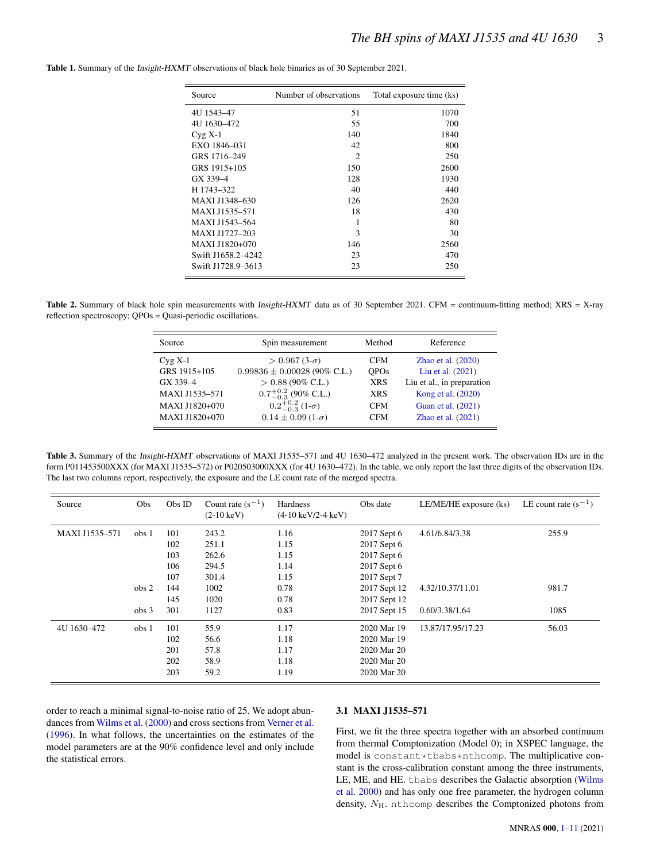| Source             | Number of observations | Total exposure time (ks) |  |
|--------------------|------------------------|--------------------------|--|
| 4U 1543-47         | 51                     | 1070                     |  |
| 4U 1630-472        | 55                     | 700                      |  |
| $Cyg X-1$          | 140                    | 1840                     |  |
| EXO 1846-031       | 42                     | 800                      |  |
| GRS 1716-249       | $\mathfrak{D}$         | 250                      |  |
| GRS 1915+105       | 150                    | 2600                     |  |
| GX 339-4           | 128                    | 1930                     |  |
| H 1743-322         | 40                     | 440                      |  |
| MAXI J1348-630     | 126                    | 2620                     |  |
| MAXI J1535-571     | 18                     | 430                      |  |
| MAXI J1543-564     | 1                      | 80                       |  |
| MAXI J1727-203     | 3                      | 30                       |  |
| MAXI J1820+070     | 146                    | 2560                     |  |
| Swift J1658.2-4242 | 23                     | 470                      |  |
| Swift J1728.9-3613 | 23                     | 250                      |  |

<span id="page-2-0"></span>Table 1. Summary of the Insight-HXMT observations of black hole binaries as of 30 September 2021.

<span id="page-2-1"></span>Table 2. Summary of black hole spin measurements with *Insight-HXMT* data as of 30 September 2021. CFM = continuum-fitting method; XRS = X-ray reflection spectroscopy; QPOs = Quasi-periodic oscillations.

| Source         | Spin measurement                   | Method      | Reference                  |
|----------------|------------------------------------|-------------|----------------------------|
| $Cyg X-1$      | $> 0.967(3-\sigma)$                | <b>CFM</b>  | Zhao et al. $(2020)$       |
| GRS 1915+105   | $0.99836 \pm 0.00028$ (90% C.L.)   | <b>OPOs</b> | Liu et al. (2021)          |
| GX 339-4       | $> 0.88$ (90% C.L.)                | <b>XRS</b>  | Liu et al., in preparation |
| MAXI J1535-571 | $0.7^{+0.2}_{-0.3}$ (90% C.L.)     | <b>XRS</b>  | Kong et al. (2020)         |
| MAXI J1820+070 | $0.2^{+0.2}_{-0.3}$ (1- $\sigma$ ) | <b>CFM</b>  | Guan et al. (2021)         |
| MAXI J1820+070 | $0.14 \pm 0.09$ (1- $\sigma$ )     | <b>CFM</b>  | Zhao et al. (2021)         |

<span id="page-2-2"></span>Table 3. Summary of the Insight-HXMT observations of MAXI J1535–571 and 4U 1630–472 analyzed in the present work. The observation IDs are in the form P011453500XXX (for MAXI J1535–572) or P020503000XXX (for 4U 1630–472). In the table, we only report the last three digits of the observation IDs. The last two columns report, respectively, the exposure and the LE count rate of the merged spectra.

| Source         | <b>Obs</b>                           | Obs ID                          | Count rate $(s^{-1})$<br>$(2-10 \text{ keV})$ | Hardness<br>$(4-10 \text{ keV}/2-4 \text{ keV})$ | Obs date                                                                | LE/ME/HE exposure (ks)             | LE count rate $(s^{-1})$ |
|----------------|--------------------------------------|---------------------------------|-----------------------------------------------|--------------------------------------------------|-------------------------------------------------------------------------|------------------------------------|--------------------------|
| MAXI J1535-571 | obs <sub>1</sub>                     | 101<br>102<br>103<br>106        | 243.2<br>251.1<br>262.6<br>294.5              | 1.16<br>1.15<br>1.15<br>1.14                     | 2017 Sept 6<br>2017 Sept 6<br>2017 Sept 6<br>2017 Sept 6                | 4.61/6.84/3.38                     | 255.9                    |
|                | obs <sub>2</sub><br>obs <sub>3</sub> | 107<br>144<br>145<br>301        | 301.4<br>1002<br>1020<br>1127                 | 1.15<br>0.78<br>0.78<br>0.83                     | 2017 Sept 7<br>2017 Sept 12<br>2017 Sept 12<br>2017 Sept 15             | 4.32/10.37/11.01<br>0.60/3.38/1.64 | 981.7<br>1085            |
| 4U 1630-472    | obs <sub>1</sub>                     | 101<br>102<br>201<br>202<br>203 | 55.9<br>56.6<br>57.8<br>58.9<br>59.2          | 1.17<br>1.18<br>1.17<br>1.18<br>1.19             | 2020 Mar 19<br>2020 Mar 19<br>2020 Mar 20<br>2020 Mar 20<br>2020 Mar 20 | 13.87/17.95/17.23                  | 56.03                    |

order to reach a minimal signal-to-noise ratio of 25. We adopt abundances from [Wilms et al.](#page-9-35) [\(2000\)](#page-9-35) and cross sections from [Verner et al.](#page-9-36) [\(1996\)](#page-9-36). In what follows, the uncertainties on the estimates of the model parameters are at the 90% confidence level and only include the statistical errors.

#### 3.1 MAXI J1535–571

First, we fit the three spectra together with an absorbed continuum from thermal Comptonization (Model 0); in XSPEC language, the model is constant\*tbabs\*nthcomp. The multiplicative constant is the cross-calibration constant among the three instruments, LE, ME, and HE. tbabs describes the Galactic absorption [\(Wilms](#page-9-35) [et al.](#page-9-35) [2000\)](#page-9-35) and has only one free parameter, the hydrogen column density,  $N_{\rm H}$ . nthcomp describes the Comptonized photons from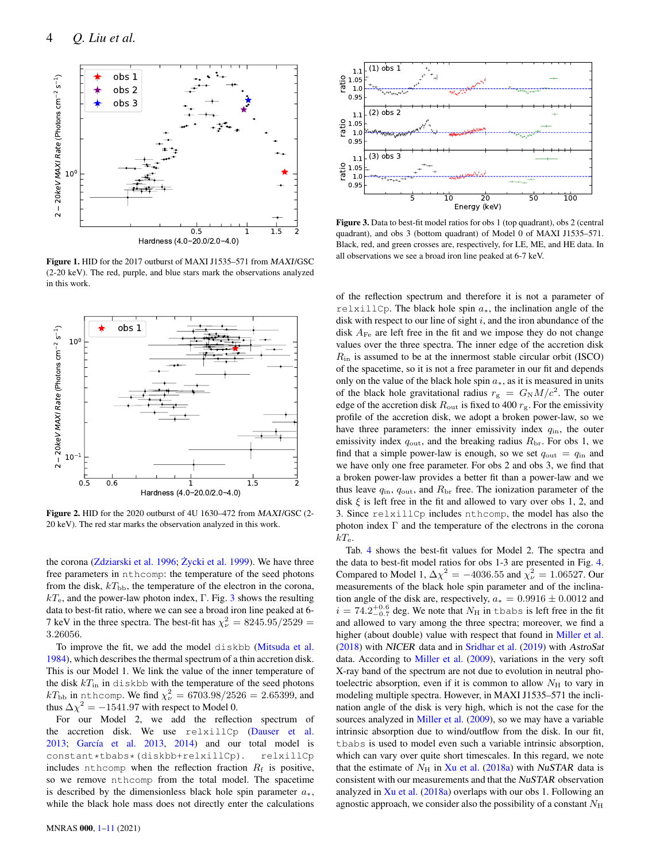

Figure 1. HID for the 2017 outburst of MAXI J1535–571 from MAXI/GSC (2-20 keV). The red, purple, and blue stars mark the observations analyzed in this work.



Figure 2. HID for the 2020 outburst of 4U 1630–472 from MAXI/GSC (2- 20 keV). The red star marks the observation analyzed in this work.

the corona [\(Zdziarski et al.](#page-9-37) [1996;](#page-9-37) Życki et al. [1999\)](#page-10-3). We have three free parameters in nthcomp: the temperature of the seed photons from the disk,  $kT_{\text{bb}}$ , the temperature of the electron in the corona,  $kT_e$ , and the power-law photon index, Γ. Fig. [3](#page-3-2) shows the resulting data to best-fit ratio, where we can see a broad iron line peaked at 6- 7 keV in the three spectra. The best-fit has  $\chi^2_{\nu} = 8245.95/2529 =$ 3.26056.

To improve the fit, we add the model diskbb [\(Mitsuda et al.](#page-9-38) [1984\)](#page-9-38), which describes the thermal spectrum of a thin accretion disk. This is our Model 1. We link the value of the inner temperature of the disk  $kT_{\text{in}}$  in diskbb with the temperature of the seed photons  $kT_\mathrm{bb}$  in <code>nthcomp.</code> We find  $\chi^2_\nu = 6703.98/2526 = 2.65399,$  and thus  $\Delta \chi^2 = -1541.97$  with respect to Model 0.

For our Model 2, we add the reflection spectrum of the accretion disk. We use relxillCp [\(Dauser et al.](#page-9-39) [2013;](#page-9-39) [García et al.](#page-9-40) [2013,](#page-9-40) [2014\)](#page-9-41) and our total model is constant\*tbabs\*(diskbb+relxillCp). relxillCp includes nthcomp when the reflection fraction  $R_f$  is positive, so we remove nthcomp from the total model. The spacetime is described by the dimensionless black hole spin parameter  $a_{*}$ , while the black hole mass does not directly enter the calculations



<span id="page-3-2"></span><span id="page-3-0"></span>Figure 3. Data to best-fit model ratios for obs 1 (top quadrant), obs 2 (central quadrant), and obs 3 (bottom quadrant) of Model 0 of MAXI J1535–571. Black, red, and green crosses are, respectively, for LE, ME, and HE data. In all observations we see a broad iron line peaked at 6-7 keV.

of the reflection spectrum and therefore it is not a parameter of relxillCp. The black hole spin  $a_*$ , the inclination angle of the disk with respect to our line of sight  $i$ , and the iron abundance of the disk  $A_{\text{Fe}}$  are left free in the fit and we impose they do not change values over the three spectra. The inner edge of the accretion disk  $R_{\rm in}$  is assumed to be at the innermost stable circular orbit (ISCO) of the spacetime, so it is not a free parameter in our fit and depends only on the value of the black hole spin  $a<sub>*</sub>$ , as it is measured in units of the black hole gravitational radius  $r_g = G_N M/c^2$ . The outer edge of the accretion disk  $R_{\text{out}}$  is fixed to 400  $r_{\text{g}}$ . For the emissivity profile of the accretion disk, we adopt a broken power-law, so we have three parameters: the inner emissivity index  $q_{\text{in}}$ , the outer emissivity index  $q_{\text{out}}$ , and the breaking radius  $R_{\text{br}}$ . For obs 1, we find that a simple power-law is enough, so we set  $q_{\text{out}} = q_{\text{in}}$  and we have only one free parameter. For obs 2 and obs 3, we find that a broken power-law provides a better fit than a power-law and we thus leave  $q_{\text{in}}$ ,  $q_{\text{out}}$ , and  $R_{\text{br}}$  free. The ionization parameter of the disk  $\xi$  is left free in the fit and allowed to vary over obs 1, 2, and 3. Since relxillCp includes nthcomp, the model has also the photon index  $\Gamma$  and the temperature of the electrons in the corona  $kT_e$ .

<span id="page-3-1"></span>Tab. [4](#page-4-1) shows the best-fit values for Model 2. The spectra and the data to best-fit model ratios for obs 1-3 are presented in Fig. [4.](#page-5-0) Compared to Model 1,  $\Delta \chi^2 = -4036.55$  and  $\chi^2 = 1.06527$ . Our measurements of the black hole spin parameter and of the inclination angle of the disk are, respectively,  $a_* = 0.9916 \pm 0.0012$  and  $i = 74.2^{+0.6}_{-0.7}$  deg. We note that  $N_{\rm H}$  in tbabs is left free in the fit and allowed to vary among the three spectra; moreover, we find a higher (about double) value with respect that found in [Miller et al.](#page-9-42) [\(2018\)](#page-9-42) with NICER data and in [Sridhar et al.](#page-9-22) [\(2019\)](#page-9-22) with AstroSat data. According to [Miller et al.](#page-9-43) [\(2009\)](#page-9-43), variations in the very soft X-ray band of the spectrum are not due to evolution in neutral photoelectric absorption, even if it is common to allow  $N_{\rm H}$  to vary in modeling multiple spectra. However, in MAXI J1535–571 the inclination angle of the disk is very high, which is not the case for the sources analyzed in [Miller et al.](#page-9-43) [\(2009\)](#page-9-43), so we may have a variable intrinsic absorption due to wind/outflow from the disk. In our fit, tbabs is used to model even such a variable intrinsic absorption, which can vary over quite short timescales. In this regard, we note that the estimate of  $N_H$  in [Xu et al.](#page-9-14) [\(2018a\)](#page-9-14) with NuSTAR data is consistent with our measurements and that the NuSTAR observation analyzed in  $Xu$  et al. [\(2018a\)](#page-9-14) overlaps with our obs 1. Following an agnostic approach, we consider also the possibility of a constant  $N_{\rm H}$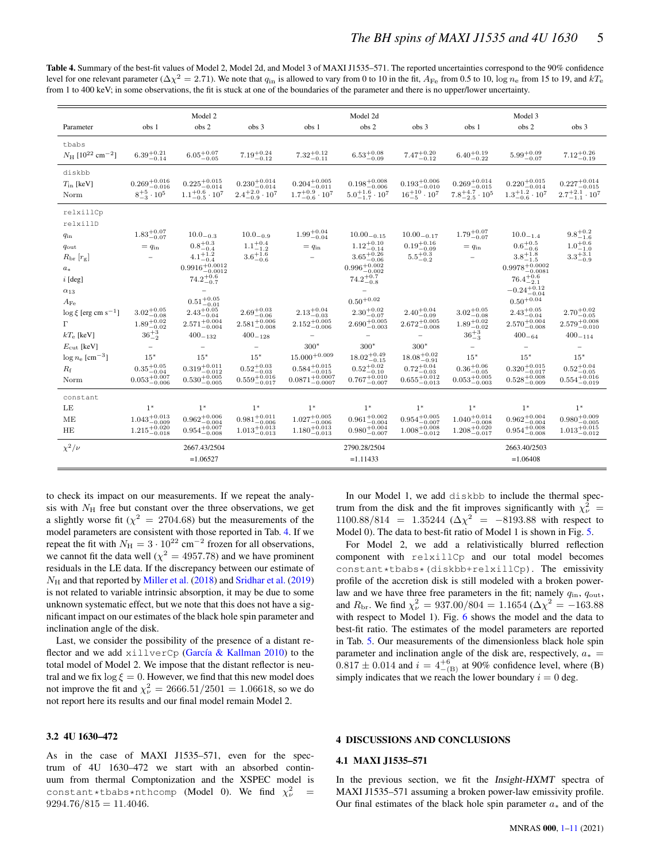<span id="page-4-1"></span>

| Table 4. Summary of the best-fit values of Model 2, Model 2d, and Model 3 of MAXI J1535–571. The reported uncertainties correspond to the 90% confidence                                                           |
|--------------------------------------------------------------------------------------------------------------------------------------------------------------------------------------------------------------------|
| level for one relevant parameter ( $\Delta \chi^2 = 2.71$ ). We note that $q_{\rm in}$ is allowed to vary from 0 to 10 in the fit, $A_{\rm Fe}$ from 0.5 to 10, log $n_{\rm e}$ from 15 to 19, and kT <sub>e</sub> |
| from 1 to 400 keV; in some observations, the fit is stuck at one of the boundaries of the parameter and there is no upper/lower uncertainty.                                                                       |

|                                                  | Model 2                          |                                               |                                    | Model 2d                       |                                 |                                     | Model 3                          |                                                  |                                 |
|--------------------------------------------------|----------------------------------|-----------------------------------------------|------------------------------------|--------------------------------|---------------------------------|-------------------------------------|----------------------------------|--------------------------------------------------|---------------------------------|
| Parameter                                        | obs 1                            | obs 2                                         | obs 3                              | obs 1                          | obs 2                           | obs 3                               | obs 1                            | obs 2                                            | obs <sub>3</sub>                |
| tbabs                                            |                                  |                                               |                                    |                                |                                 |                                     |                                  |                                                  |                                 |
| $N_{\rm H}$ [10 <sup>22</sup> cm <sup>-2</sup> ] | $6.39_{-0.14}^{+0.21}$           | $6.05_{-0.05}^{+0.07}$                        | $7.19^{+0.24}_{-0.12}$             | $7.32^{+0.12}_{-0.11}$         | $6.53^{+0.08}_{-0.09}$          | $7.47^{+0.20}_{-0.12}$              | $6.40_{-0.22}^{+0.19}$           | $5.99_{-0.07}^{+0.09}$                           | $7.12^{+0.26}_{-0.19}$          |
| diskbb                                           |                                  |                                               |                                    |                                |                                 |                                     |                                  |                                                  |                                 |
| $T_{\text{in}}$ [keV]                            | $0.269^{+0.016}_{-0.016}$        | $0.225_{-0.014}^{+0.015}$                     | $0.230^{+0.014}_{-0.014}$          | $0.204^{+0.005}_{-0.011}$      | $0.198^{+0.008}_{-0.006}$       | $0.193^{+0.006}_{-0.010}$           | $0.269^{+0.014}_{-0.015}$        | $0.220^{+0.015}_{-0.014}$                        | $0.227^{+0.014}_{-0.015}$       |
| Norm                                             | $8^{+5}_{-3}\cdot 10^5$          | $1.1^{+0.6}_{-0.5} \cdot 10^7$                | $2.4^{+2.0}_{-0.9} \cdot 10^7$     | $1.7^{+0.9}_{-0.6} \cdot 10^7$ | $5.0^{+1.6}_{-1.7}\cdot10^{7}$  | $16^{+10}_{-5} \cdot 10^7$          | $7.8^{+4.7}_{-2.5}\cdot10^{5}$   | $1.3^{+1.2}_{-0.6} \cdot 10^7$                   | $2.7^{+2.1}_{-1.1}\cdot10^{7}$  |
|                                                  |                                  |                                               |                                    |                                |                                 |                                     |                                  |                                                  |                                 |
| relxillCp                                        |                                  |                                               |                                    |                                |                                 |                                     |                                  |                                                  |                                 |
| relxillD                                         |                                  |                                               |                                    |                                |                                 |                                     |                                  |                                                  |                                 |
| $q_{\rm in}$                                     | $1.83^{+0.07}_{-0.07}$           | $10.0 - 0.3$                                  | $10.0 - 0.9$                       | $1.99^{+0.04}_{-0.04}$         | $10.00 - 0.15$                  | $10.00 - 0.17$                      | $1.79^{+0.07}_{-0.07}$           | $10.0_{-1.4}$                                    | $9.8^{+0.2}_{-1.6}$             |
| $q_{\text{out}}$                                 | $= q_{\rm in}$                   | $0.8^{+0.3}_{-0.4}$                           | $1.1^{+0.4}_{-1.2}$                | $= q_{\rm in}$                 | $1.12^{+0.10}_{-0.14}$          | $0.19^{+0.16}_{-0.09}$              | $= q_{\rm in}$                   | $0.6 \substack{+0.5 \\ -0.6}$                    | $1.0^{+0.6}_{-1.0}$             |
| $R_{\rm br}$ [ $r_{\rm g}$ ]                     |                                  | $4.1^{+1.2}_{-0.4}$                           | $3.6\substack{+1.6\\-0.6}$         |                                | $3.65^{+0.26}_{-0.06}$          | $5.5^{+\check{0}.\check{3}}_{-0.2}$ |                                  | $3.8^{+1.8}_{-1.5}$                              | $3.3^{+3.1}_{-0.9}$             |
| $a_*$                                            |                                  | $0.9916_{-0.0012}^{+0.0012}$                  |                                    |                                | $0.996^{+0.002}_{-0.002}$       |                                     |                                  | $0.9978^{\mathrm {+0.0002}}_{\mathrm {-0.0081}}$ |                                 |
| $i$ [deg]                                        |                                  | $74.2^{+0.6}_{-0.7}$                          |                                    |                                | $74.2^{+0.7}_{-0.8}$            |                                     |                                  | $76.4^{+0.6}_{-2.1}$                             |                                 |
| $\alpha_{13}$                                    |                                  |                                               |                                    |                                |                                 |                                     |                                  | $-0.24^{+0.12}_{-0.04}$                          |                                 |
| $A_{\rm Fe}$                                     |                                  | $0.51^{+0.05}_{-0.01}$                        |                                    |                                | $0.50^{+0.02}$                  |                                     |                                  | $0.50^{+0.04}$                                   |                                 |
| $\log \xi$ [erg cm s <sup>-1</sup> ]             | $3.02^{+0.05}_{-0.08}\,$         | $2.43_{-0.04}^{+0.05}$                        | $2.69^{+0.03}_{-0.06}$             | $2.13^{+0.04}_{-0.03}$         | $2.30\substack{+0.02 \\ -0.07}$ | $2.40^{+0.04}_{-0.09}$              | $3.02^{+0.05}_{-0.08}\,$         | $2.43^{+0.05}_{-0.04}$                           | $2.70\substack{+0.02 \\ -0.05}$ |
| г                                                | $1.89^{+0.02}_{-0.02}$           | $2.571_{-0.004}^{+0.004}$                     | $2.581\substack{+0.006 \\ -0.008}$ | $2.152^{+0.005}_{-0.006}$      | $2.690^{+0.005}_{-0.003}$       | $2.672_{-0.008}^{+0.005}$           | $1.89^{+0.02}_{-0.02}$           | $2.570^{+0.004}_{-0.008}$                        | $2.579^{+0.008}_{-0.010}$       |
| $kT_e$ [keV]                                     | $36^{+3}_{-2}$                   | $400 - 132$                                   | $400 - 128$                        | $\overline{\phantom{a}}$       | $\overline{\phantom{a}}$        | $\qquad \qquad -$                   | $36^{+3}_{-3}$                   | $400 - 64$                                       | $400 - 114$                     |
| $E_{\rm cut}$ [keV]                              |                                  |                                               |                                    | $300*$                         | $300*$                          | $300*$                              |                                  |                                                  | $\overline{\phantom{a}}$        |
| $\log n_e \text{ [cm}^{-3}$ ]                    | $15*$                            | $15*$                                         | $15*$                              | $15.000^{+0.009}$              | $18.02^{+0.49}_{-0.15}$         | $18.08^{+0.02}_{-0.91}$             | $15*$                            | $15*$                                            | $15*$                           |
| $R_{\rm f}$                                      | $0.35 \substack{+0.05 \\ -0.04}$ | $0.319^{\mathrm {+0.011}}_{\mathrm {-0.012}}$ | $0.52 \substack{+0.03 \\ -0.03}$   | $0.584^{+0.015}_{-0.015}$      | $0.52^{+0.02}_{-0.10}$          | $0.72 \substack{+0.04 \\ -0.03}$    | $0.36 \substack{+0.06 \\ -0.05}$ | $0.320^{+0.015}_{-0.017}$                        | $0.52^{+0.04}_{-0.05}$          |
| Norm                                             | $0.053^{+0.007}_{-0.006}$        | $0.530^{+0.005}_{-0.005}$                     | $0.559^{+0.016}_{-0.017}$          | $0.0871^{+0.0007}_{-0.0007}$   | $0.767^{+0.010}_{-0.007}$       | $0.655_{-0.013}^{+0.012}$           | $0.053_{-0.003}^{+0.005}$        | $0.528^{+0.008}_{-0.009}$                        | $0.554^{+0.016}_{-0.019}$       |
| constant                                         |                                  |                                               |                                    |                                |                                 |                                     |                                  |                                                  |                                 |
| LE                                               | $1^*$                            | $1^*$                                         | $1*$                               | $1^*$                          | $1^*$                           | $1^*$                               | $1^*$                            | $1^*$                                            | $1*$                            |
| ME                                               | $1.043_{-0.009}^{+0.013}$        | $0.962^{+0.006}_{-0.004}$                     | $0.981^{+0.011}_{-0.006}$          | $1.027^{+0.005}_{-0.006}$      | $0.961_{-0.004}^{+0.002}$       | $0.954_{-0.007}^{+0.005}$           | $1.040^{+0.014}_{-0.008}$        | $0.962^{+0.004}_{-0.004}$                        | $0.980^{+0.009}_{-0.005}$       |
| HE                                               | $1.215_{-0.018}^{+0.020}$        | $0.954_{-0.008}^{+0.007}$                     | $1.013_{-0.013}^{+0.013}$          | $1.180^{+0.013}_{-0.013}$      | $0.980^{+0.004}_{-0.007}$       | $1.008^{+0.008}_{-0.012}$           | $1.208^{+0.020}_{-0.017}$        | $0.954_{-0.008}^{+0.008}$                        | $1.013_{-0.012}^{+0.015}$       |
| $\chi^2/\nu$                                     |                                  | 2667.43/2504                                  |                                    |                                | 2790.28/2504                    |                                     |                                  | 2663.40/2503                                     |                                 |
|                                                  |                                  | $=1.06527$                                    |                                    |                                | $=1.11433$                      |                                     |                                  | $=1.06408$                                       |                                 |

to check its impact on our measurements. If we repeat the analysis with  $N<sub>H</sub>$  free but constant over the three observations, we get a slightly worse fit ( $\chi^2 = 2704.68$ ) but the measurements of the model parameters are consistent with those reported in Tab. [4.](#page-4-1) If we repeat the fit with  $N_{\rm H} = 3 \cdot 10^{22} \text{ cm}^{-2}$  frozen for all observations, we cannot fit the data well ( $\chi^2 = 4957.78$ ) and we have prominent residuals in the LE data. If the discrepancy between our estimate of  $N_H$  and that reported by [Miller et al.](#page-9-42) [\(2018\)](#page-9-42) and [Sridhar et al.](#page-9-22) [\(2019\)](#page-9-22) is not related to variable intrinsic absorption, it may be due to some unknown systematic effect, but we note that this does not have a significant impact on our estimates of the black hole spin parameter and inclination angle of the disk.

Last, we consider the possibility of the presence of a distant reflector and we add xillverCp [\(García & Kallman](#page-9-10) [2010\)](#page-9-10) to the total model of Model 2. We impose that the distant reflector is neutral and we fix  $\log \xi = 0$ . However, we find that this new model does not improve the fit and  $\chi^2_{\nu} = 2666.51/2501 = 1.06618$ , so we do not report here its results and our final model remain Model 2.

## 3.2 4U 1630–472

As in the case of MAXI J1535–571, even for the spectrum of 4U 1630–472 we start with an absorbed continuum from thermal Comptonization and the XSPEC model is constant\*tbabs\*nthcomp (Model 0). We find  $\chi^2_{\nu}$  =  $9294.76/815 = 11.4046.$ 

In our Model 1, we add diskbb to include the thermal spectrum from the disk and the fit improves significantly with  $\chi^2_{\nu}$  =  $1100.88/814 = 1.35244 \; (\Delta \chi^2 = -8193.88 \; \text{with respect to}$ Model 0). The data to best-fit ratio of Model 1 is shown in Fig. [5.](#page-5-1)

For Model 2, we add a relativistically blurred reflection component with relxillCp and our total model becomes constant\*tbabs\*(diskbb+relxillCp). The emissivity profile of the accretion disk is still modeled with a broken powerlaw and we have three free parameters in the fit; namely  $q_{\text{in}}$ ,  $q_{\text{out}}$ , and  $R_{\rm br}$ . We find  $\chi^2_{\nu} = 937.00/804 = 1.1654 \left(\Delta \chi^2 = -163.88\right)$ with respect to Model 1). Fig. [6](#page-5-2) shows the model and the data to best-fit ratio. The estimates of the model parameters are reported in Tab. [5.](#page-6-0) Our measurements of the dimensionless black hole spin parameter and inclination angle of the disk are, respectively,  $a_*$  =  $0.817 \pm 0.014$  and  $i = 4^{+6}_{-}(B)$  at 90% confidence level, where (B) simply indicates that we reach the lower boundary  $i = 0$  deg.

# <span id="page-4-0"></span>4 DISCUSSIONS AND CONCLUSIONS

#### 4.1 MAXI J1535–571

In the previous section, we fit the Insight-HXMT spectra of MAXI J1535–571 assuming a broken power-law emissivity profile. Our final estimates of the black hole spin parameter  $a_*$  and of the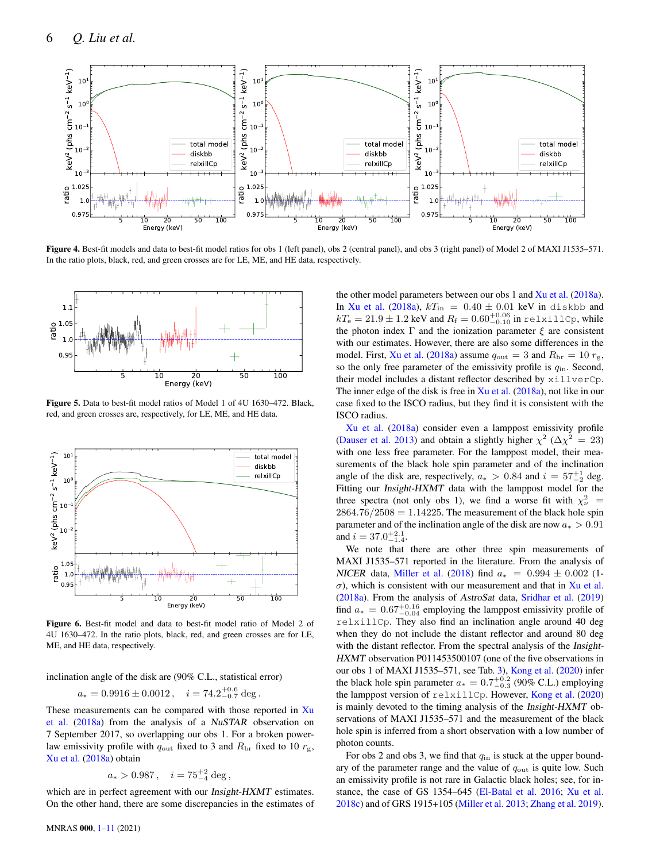

Figure 4. Best-fit models and data to best-fit model ratios for obs 1 (left panel), obs 2 (central panel), and obs 3 (right panel) of Model 2 of MAXI J1535–571. In the ratio plots, black, red, and green crosses are for LE, ME, and HE data, respectively.



Figure 5. Data to best-fit model ratios of Model 1 of 4U 1630–472. Black, red, and green crosses are, respectively, for LE, ME, and HE data.



Figure 6. Best-fit model and data to best-fit model ratio of Model 2 of 4U 1630–472. In the ratio plots, black, red, and green crosses are for LE, ME, and HE data, respectively.

inclination angle of the disk are (90% C.L., statistical error)

$$
a_* = 0.9916 \pm 0.0012
$$
,  $i = 74.2^{+0.6}_{-0.7} \text{ deg.}$ 

These measurements can be compared with those reported in [Xu](#page-9-14) [et al.](#page-9-14) [\(2018a\)](#page-9-14) from the analysis of a NuSTAR observation on 7 September 2017, so overlapping our obs 1. For a broken powerlaw emissivity profile with  $q_{\text{out}}$  fixed to 3 and  $R_{\text{br}}$  fixed to 10  $r_{\text{g}}$ , [Xu et al.](#page-9-14) [\(2018a\)](#page-9-14) obtain

$$
a_* > 0.987 \,, \quad i = 75^{+2}_{-4} \,\text{deg} \,,
$$

which are in perfect agreement with our Insight-HXMT estimates. On the other hand, there are some discrepancies in the estimates of <span id="page-5-0"></span>the other model parameters between our obs 1 and [Xu et al.](#page-9-14) [\(2018a\)](#page-9-14). In [Xu et al.](#page-9-14) [\(2018a\)](#page-9-14),  $kT_{\text{in}} = 0.40 \pm 0.01$  keV in diskbb and  $kT_{\rm e} = 21.9 \pm 1.2$  keV and  $R_{\rm f} = 0.60^{+0.06}_{-0.10}$  in relxillCp, while the photon index  $\Gamma$  and the ionization parameter  $\xi$  are consistent with our estimates. However, there are also some differences in the model. First, [Xu et al.](#page-9-14) [\(2018a\)](#page-9-14) assume  $q_{\text{out}} = 3$  and  $R_{\text{br}} = 10 r_{\text{g}}$ , so the only free parameter of the emissivity profile is  $q_{\text{in}}$ . Second, their model includes a distant reflector described by xillverCp. The inner edge of the disk is free in  $Xu$  et al. [\(2018a\)](#page-9-14), not like in our case fixed to the ISCO radius, but they find it is consistent with the ISCO radius.

<span id="page-5-1"></span>[Xu et al.](#page-9-14) [\(2018a\)](#page-9-14) consider even a lamppost emissivity profile [\(Dauser et al.](#page-9-39) [2013\)](#page-9-39) and obtain a slightly higher  $\chi^2$  ( $\Delta \chi^2 = 23$ ) with one less free parameter. For the lamppost model, their measurements of the black hole spin parameter and of the inclination angle of the disk are, respectively,  $a_* > 0.84$  and  $i = 57^{+1}_{-2}$  deg. Fitting our Insight-HXMT data with the lamppost model for the three spectra (not only obs 1), we find a worse fit with  $\chi^2_{\nu}$  =  $2864.76/2508 = 1.14225$ . The measurement of the black hole spin parameter and of the inclination angle of the disk are now  $a_* > 0.91$ and  $i = 37.0^{+2.1}_{-1.4}$ .

<span id="page-5-2"></span>We note that there are other three spin measurements of MAXI J1535–571 reported in the literature. From the analysis of NICER data, [Miller et al.](#page-9-42) [\(2018\)](#page-9-42) find  $a_* = 0.994 \pm 0.002$  (1- $\sigma$ ), which is consistent with our measurement and that in [Xu et al.](#page-9-14) [\(2018a\)](#page-9-14). From the analysis of AstroSat data, [Sridhar et al.](#page-9-22) [\(2019\)](#page-9-22) find  $a_* = 0.67^{+0.16}_{-0.04}$  employing the lamppost emissivity profile of relxillCp. They also find an inclination angle around 40 deg when they do not include the distant reflector and around 80 deg with the distant reflector. From the spectral analysis of the Insight-HXMT observation P011453500107 (one of the five observations in our obs 1 of MAXI J1535–571, see Tab. [3\)](#page-2-2), [Kong et al.](#page-9-19) [\(2020\)](#page-9-19) infer the black hole spin parameter  $a_* = 0.7^{+0.2}_{-0.3}$  (90% C.L.) employing the lamppost version of relxillCp. However, [Kong et al.](#page-9-19) [\(2020\)](#page-9-19) is mainly devoted to the timing analysis of the Insight-HXMT observations of MAXI J1535–571 and the measurement of the black hole spin is inferred from a short observation with a low number of photon counts.

For obs 2 and obs 3, we find that  $q_{\text{in}}$  is stuck at the upper boundary of the parameter range and the value of  $q_{\text{out}}$  is quite low. Such an emissivity profile is not rare in Galactic black holes; see, for instance, the case of GS 1354–645 [\(El-Batal et al.](#page-9-44) [2016;](#page-9-44) [Xu et al.](#page-9-45) [2018c\)](#page-9-45) and of GRS 1915+105 [\(Miller et al.](#page-9-46) [2013;](#page-9-46) [Zhang et al.](#page-10-4) [2019\)](#page-10-4).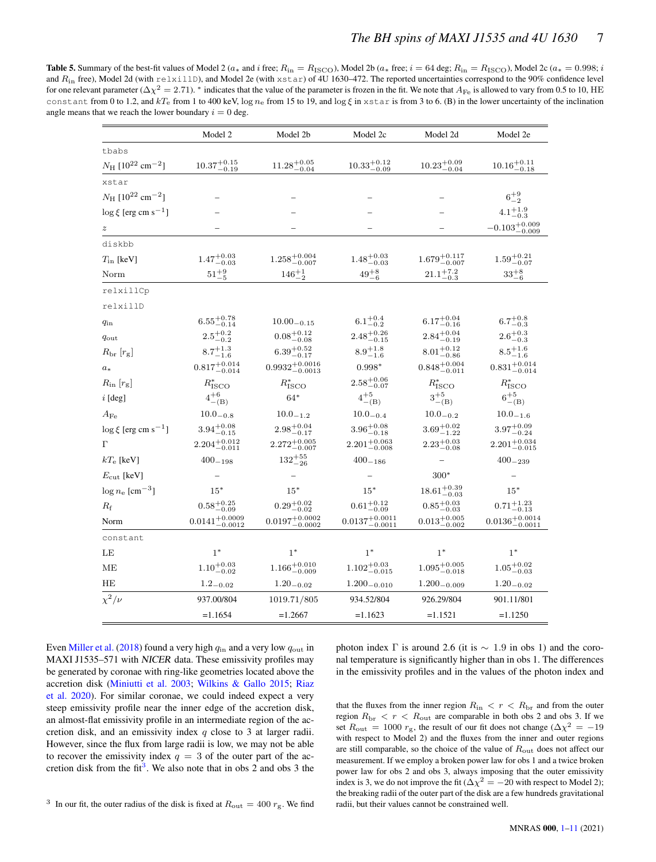<span id="page-6-0"></span>**Table 5.** Summary of the best-fit values of Model 2 ( $a_*$  and i free;  $R_{\text{in}} = R_{\text{ISCO}}$ ), Model 2b ( $a_*$  free;  $i = 64$  deg;  $R_{\text{in}} = R_{\text{ISCO}}$ ), Model 2c ( $a_* = 0.998$ ; i and  $R_{in}$  free), Model 2d (with  $relx111D$ ), and Model 2e (with  $xstar$ ) of 4U 1630–472. The reported uncertainties correspond to the 90% confidence level for one relevant parameter ( $\Delta \chi^2 = 2.71$ ). \* indicates that the value of the parameter is frozen in the fit. We note that  $A_{\text{Fe}}$  is allowed to vary from 0.5 to 10, HE constant from 0 to 1.2, and kT<sub>e</sub> from 1 to 400 keV, log  $n_e$  from 15 to 19, and log  $\xi$  in xstar is from 3 to 6. (B) in the lower uncertainty of the inclination angle means that we reach the lower boundary  $i = 0$  deg.

|                                                  | Model 2b<br>Model 2                 |                                  | Model 2c                     | Model 2d                         | Model 2e                             |  |
|--------------------------------------------------|-------------------------------------|----------------------------------|------------------------------|----------------------------------|--------------------------------------|--|
| tbabs                                            |                                     |                                  |                              |                                  |                                      |  |
| $N_{\rm H}$ [10 <sup>22</sup> cm <sup>-2</sup> ] | $10.37^{+0.15}_{-0.19}$             | $11.28^{+0.05}_{-0.04}$          | $10.33^{+0.12}_{-0.09}$      | $10.23^{+0.09}_{-0.04}$          | $10.16^{+0.11}_{-0.18}$              |  |
| xstar                                            |                                     |                                  |                              |                                  |                                      |  |
| $N_{\rm H}$ [10 <sup>22</sup> cm <sup>-2</sup> ] |                                     |                                  |                              |                                  | $6^{+9}_{-2}$                        |  |
| $\log \xi$ [erg cm s <sup>-1</sup> ]             |                                     |                                  |                              |                                  | $4.1^{+1.9}_{-0.3}$                  |  |
| $\boldsymbol{z}$                                 |                                     |                                  |                              |                                  | $-0.103^{+0.009}_{-0.009}$           |  |
| diskbb                                           |                                     |                                  |                              |                                  |                                      |  |
| $T_{\rm in}$ [keV]                               | $1.47^{+0.03}_{-0.03}$              | $1.258^{+0.004}_{-0.007}$        | $1.48^{+0.03}_{-0.03}$       | $1.679^{+0.117}_{-0.007}$        | $1.59^{+0.21}_{-0.07}$               |  |
| Norm                                             | $51^{+9}_{\cdot}$                   | $146^{+1}_{-2}$                  | $49^{+8}\,$                  | $21.1^{+7.2}_{-0.3}$             | $33^{+8}_{-6}$                       |  |
| relxillCp                                        |                                     |                                  |                              |                                  |                                      |  |
| relxillD                                         |                                     |                                  |                              |                                  |                                      |  |
| $q_{\rm in}$                                     | $6.55^{+0.78}_{-0.14}$              | $10.00 - 0.15$                   | $6.1^{+0.4}_{-0.2}$          | $6.17^{+0.04}_{-0.16}$           | $6.7^{+0.8}_{-0.3}$                  |  |
| $q_{\rm out}$                                    | $2.5^{+0.2}_{-0.2}\,$               | $0.08 \substack{+0.12 \\ -0.08}$ | $2.48^{+0.26}_{-0.15}$       | $2.84^{+0.04}_{-0.19}$           | $2.6^{+0.3}_{-0.3}$                  |  |
| $R_{\rm br}\left[r_{\rm g}\right]$               | $8.7^{+1.3}_{-1.6}$                 | $6.39^{+0.52}_{-0.17}$           | $8.9^{+1.8}_{-1.6}$          | $8.01\substack{+0.12 \\ -0.86}$  | $8.5^{+1.6}_{-1.6}$                  |  |
| $a_{*}$                                          | $0.817^{+0.014}_{-0.014}$           | $0.9932_{-0.0013}^{+0.0016}$     | $0.998*$                     | $0.848^{+0.004}_{-0.011}$        | $0.831^{+0.014}_{-0.014}$            |  |
| $R_{\rm in}\ [r_{\rm g}]$                        | $R^*_{\rm ISCO}$                    | $R^*_{\rm ISCO}$                 | $2.58^{+0.06}_{-0.07}$       | $R^*_{\rm ISCO}$                 | $R^*_{\rm ISCO}$                     |  |
| $i$ [deg]                                        | $4^{+6}_{-(B)}$                     | $64*$                            | $4^{\mathrm {+5}}$<br>$-(B)$ | $3^{+5}_{-(B)}$                  | $6^{+5}_{-(B)}$                      |  |
| $A_{\rm Fe}$                                     | $10.0_{-0.8}$                       | $10.0_{-1.2}$                    | $10.0_{-0.4}$                | $10.0_{-0.2}$                    | $10.0 - 1.6$                         |  |
| $\log \xi$ [erg cm s <sup>-1</sup> ]             | $3.94^{+0.08}_{-0.15}$              | $2.98^{+0.04}_{-0.17}$           | $3.96^{+0.08}_{-0.18}$       | $3.69^{+0.02}_{-1.22}$           | $3.97^{+0.09}_{-0.24}$               |  |
| Г                                                | $2.204^{+0.012}_{-0.011}$           | $2.272^{+0.005}_{-0.007}$        | $2.201^{+0.063}_{-0.008}$    | $2.23^{+0.03}_{-0.08}$           | $2.201^{+0.034}_{-0.015}$            |  |
| $kT_{\rm e}$ [keV]                               | $400 - 198$                         | $132^{+55}_{-26}$                | $400 - 186$                  |                                  | $400 - 239$                          |  |
| $E_{\rm cut}$ [keV]                              |                                     |                                  |                              | $300*$                           |                                      |  |
| $\log n_{\rm e}~[{\rm cm}^{-3}]$                 | $15*$                               | $15*$                            | $15*$                        | $18.61_{-0.03}^{+0.39}$          | $15*$                                |  |
| $R_{\rm f}$                                      | $0.58 \substack{+0.25 \\ -0.09}$    | $0.29 \substack{+0.02 \\ -0.02}$ | $0.61^{+0.12}_{-0.09}$       | $0.85 \substack{+0.03 \\ -0.03}$ | $0.71_{-0.13}^{+1.23}$               |  |
| Norm                                             | $0.0141\substack{+0.0009\\-0.0012}$ | $0.0197^{+0.0002}_{-0.0002}$     | $0.0137^{+0.0011}_{-0.0011}$ | $0.013_{-0.002}^{+0.005}$        | $0.0136\substack{+0.0014\\ -0.0011}$ |  |
| constant                                         |                                     |                                  |                              |                                  |                                      |  |
| LE                                               | $1^*$                               | $1^*$                            | $1*$                         | $1^*$                            | $1^*$                                |  |
| ΜЕ                                               | $1.10^{+0.03}_{-0.02}$              | $1.166^{+0.010}_{-0.009}$        | $1.102_{-0.015}^{+0.03}$     | $1.095^{+0.005}_{-0.018}$        | $1.05^{+0.02}_{-0.03}$               |  |
| HЕ                                               | $1.2 - 0.02$                        | $1.20 - 0.02$                    | $1.200 - 0.010$              | $1.200 - 0.009$                  | $1.20_{-0.02}$                       |  |
| $\chi^2/\nu$                                     | 937.00/804                          | 1019.71/805                      | 934.52/804                   | 926.29/804                       | 901.11/801                           |  |
|                                                  | $=1.1654$                           | $=1.2667$                        | $=1.1623$                    | $=1.1521$                        | $=1.1250$                            |  |

<span id="page-6-1"></span>Even [Miller et al.](#page-9-42) [\(2018\)](#page-9-42) found a very high  $q_{\text{in}}$  and a very low  $q_{\text{out}}$  in MAXI J1535–571 with NICER data. These emissivity profiles may be generated by coronae with ring-like geometries located above the accretion disk [\(Miniutti et al.](#page-9-47) [2003;](#page-9-47) [Wilkins & Gallo](#page-9-48) [2015;](#page-9-48) [Riaz](#page-9-49) [et al.](#page-9-49) [2020\)](#page-9-49). For similar coronae, we could indeed expect a very steep emissivity profile near the inner edge of the accretion disk, an almost-flat emissivity profile in an intermediate region of the accretion disk, and an emissivity index q close to 3 at larger radii. However, since the flux from large radii is low, we may not be able to recover the emissivity index  $q = 3$  of the outer part of the ac-cretion disk from the fit<sup>[3](#page-6-1)</sup>. We also note that in obs 2 and obs 3 the photon index  $\Gamma$  is around 2.6 (it is  $\sim 1.9$  in obs 1) and the coronal temperature is significantly higher than in obs 1. The differences in the emissivity profiles and in the values of the photon index and

that the fluxes from the inner region  $R_{\text{in}} < r < R_{\text{br}}$  and from the outer region  $R_{\rm br} < r < R_{\rm out}$  are comparable in both obs 2 and obs 3. If we set  $R_{\text{out}} = 1000 r_{\text{g}}$ , the result of our fit does not change ( $\Delta \chi^2 = -19$ with respect to Model 2) and the fluxes from the inner and outer regions are still comparable, so the choice of the value of  $R_{\text{out}}$  does not affect our measurement. If we employ a broken power law for obs 1 and a twice broken power law for obs 2 and obs 3, always imposing that the outer emissivity index is 3, we do not improve the fit ( $\Delta \chi^2 = -20$  with respect to Model 2); the breaking radii of the outer part of the disk are a few hundreds gravitational radii, but their values cannot be constrained well.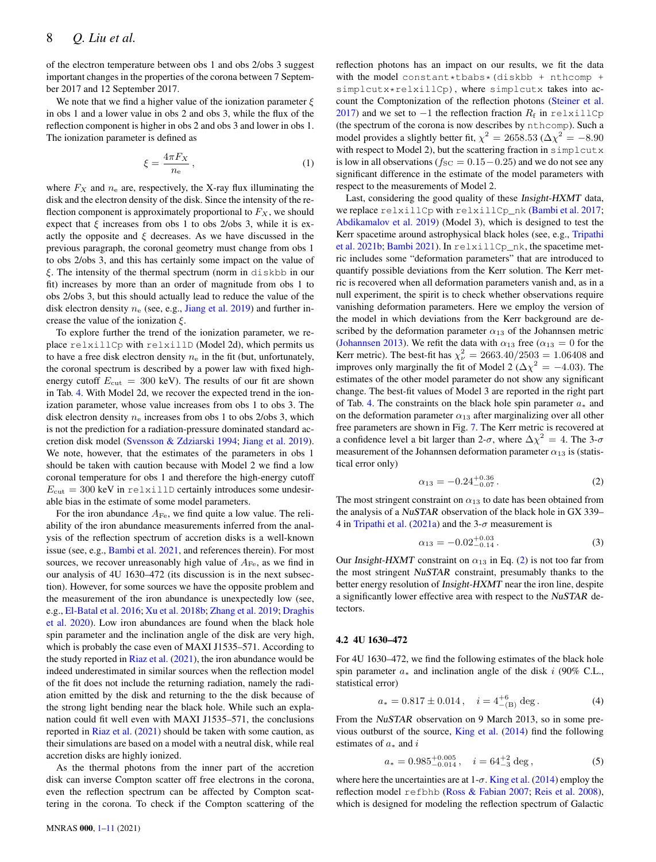of the electron temperature between obs 1 and obs 2/obs 3 suggest important changes in the properties of the corona between 7 September 2017 and 12 September 2017.

We note that we find a higher value of the ionization parameter  $\xi$ in obs 1 and a lower value in obs 2 and obs 3, while the flux of the reflection component is higher in obs 2 and obs 3 and lower in obs 1. The ionization parameter is defined as

$$
\xi = \frac{4\pi F_X}{n_e} \,,\tag{1}
$$

where  $F_X$  and  $n_e$  are, respectively, the X-ray flux illuminating the disk and the electron density of the disk. Since the intensity of the reflection component is approximately proportional to  $F_X$ , we should expect that  $\xi$  increases from obs 1 to obs 2/obs 3, while it is exactly the opposite and  $\xi$  decreases. As we have discussed in the previous paragraph, the coronal geometry must change from obs 1 to obs 2/obs 3, and this has certainly some impact on the value of ξ. The intensity of the thermal spectrum (norm in diskbb in our fit) increases by more than an order of magnitude from obs 1 to obs 2/obs 3, but this should actually lead to reduce the value of the disk electron density  $n_e$  (see, e.g., [Jiang et al.](#page-9-50) [2019\)](#page-9-50) and further increase the value of the ionization  $\xi$ .

To explore further the trend of the ionization parameter, we replace relxillCp with relxillD (Model 2d), which permits us to have a free disk electron density  $n_e$  in the fit (but, unfortunately, the coronal spectrum is described by a power law with fixed highenergy cutoff  $E_{\text{cut}} = 300 \text{ keV}$ ). The results of our fit are shown in Tab. [4.](#page-4-1) With Model 2d, we recover the expected trend in the ionization parameter, whose value increases from obs 1 to obs 3. The disk electron density  $n_e$  increases from obs 1 to obs 2/obs 3, which is not the prediction for a radiation-pressure dominated standard accretion disk model [\(Svensson & Zdziarski](#page-9-51) [1994;](#page-9-51) [Jiang et al.](#page-9-50) [2019\)](#page-9-50). We note, however, that the estimates of the parameters in obs 1 should be taken with caution because with Model 2 we find a low coronal temperature for obs 1 and therefore the high-energy cutoff  $E_{\text{cut}} = 300 \text{ keV}$  in relxillD certainly introduces some undesirable bias in the estimate of some model parameters.

For the iron abundance  $A_{\text{Fe}}$ , we find quite a low value. The reliability of the iron abundance measurements inferred from the analysis of the reflection spectrum of accretion disks is a well-known issue (see, e.g., [Bambi et al.](#page-9-7) [2021,](#page-9-7) and references therein). For most sources, we recover unreasonably high value of  $A_{\text{Fe}}$ , as we find in our analysis of 4U 1630–472 (its discussion is in the next subsection). However, for some sources we have the opposite problem and the measurement of the iron abundance is unexpectedly low (see, e.g., [El-Batal et al.](#page-9-44) [2016;](#page-9-44) [Xu et al.](#page-9-52) [2018b;](#page-9-52) [Zhang et al.](#page-10-4) [2019;](#page-10-4) [Draghis](#page-9-53) [et al.](#page-9-53) [2020\)](#page-9-53). Low iron abundances are found when the black hole spin parameter and the inclination angle of the disk are very high, which is probably the case even of MAXI J1535–571. According to the study reported in [Riaz et al.](#page-9-54)  $(2021)$ , the iron abundance would be indeed underestimated in similar sources when the reflection model of the fit does not include the returning radiation, namely the radiation emitted by the disk and returning to the the disk because of the strong light bending near the black hole. While such an explanation could fit well even with MAXI J1535–571, the conclusions reported in [Riaz et al.](#page-9-54) [\(2021\)](#page-9-54) should be taken with some caution, as their simulations are based on a model with a neutral disk, while real accretion disks are highly ionized.

As the thermal photons from the inner part of the accretion disk can inverse Compton scatter off free electrons in the corona, even the reflection spectrum can be affected by Compton scattering in the corona. To check if the Compton scattering of the

reflection photons has an impact on our results, we fit the data with the model constant\*tbabs\*(diskbb + nthcomp + simplcutx\*relxillCp), where simplcutx takes into account the Comptonization of the reflection photons [\(Steiner et al.](#page-9-55) [2017\)](#page-9-55) and we set to  $-1$  the reflection fraction  $R_f$  in relxillCp (the spectrum of the corona is now describes by nthcomp). Such a model provides a slightly better fit,  $\chi^2 = 2658.53$  ( $\Delta \chi^2 = -8.90$ with respect to Model 2), but the scattering fraction in simplcutx is low in all observations ( $f_{SC} = 0.15 - 0.25$ ) and we do not see any significant difference in the estimate of the model parameters with respect to the measurements of Model 2.

Last, considering the good quality of these Insight-HXMT data, we replace relxillCp with relxillCp\_nk [\(Bambi et al.](#page-9-56) [2017;](#page-9-56) [Abdikamalov et al.](#page-9-57) [2019\)](#page-9-57) (Model 3), which is designed to test the Kerr spacetime around astrophysical black holes (see, e.g., [Tripathi](#page-9-12) [et al.](#page-9-12) [2021b;](#page-9-12) [Bambi](#page-9-58) [2021\)](#page-9-58). In relxillCp\_nk, the spacetime metric includes some "deformation parameters" that are introduced to quantify possible deviations from the Kerr solution. The Kerr metric is recovered when all deformation parameters vanish and, as in a null experiment, the spirit is to check whether observations require vanishing deformation parameters. Here we employ the version of the model in which deviations from the Kerr background are described by the deformation parameter  $\alpha_{13}$  of the Johannsen metric [\(Johannsen](#page-9-59) [2013\)](#page-9-59). We refit the data with  $\alpha_{13}$  free ( $\alpha_{13} = 0$  for the Kerr metric). The best-fit has  $\chi^2_{\nu} = 2663.40/2503 = 1.06408$  and improves only marginally the fit of Model 2 ( $\Delta \chi^2 = -4.03$ ). The estimates of the other model parameter do not show any significant change. The best-fit values of Model 3 are reported in the right part of Tab. [4.](#page-4-1) The constraints on the black hole spin parameter  $a_*$  and on the deformation parameter  $\alpha_{13}$  after marginalizing over all other free parameters are shown in Fig. [7.](#page-8-1) The Kerr metric is recovered at a confidence level a bit larger than 2- $\sigma$ , where  $\Delta \chi^2 = 4$ . The 3- $\sigma$ measurement of the Johannsen deformation parameter  $\alpha_{13}$  is (statistical error only)

<span id="page-7-0"></span>
$$
\alpha_{13} = -0.24^{+0.36}_{-0.07} \,. \tag{2}
$$

The most stringent constraint on  $\alpha_{13}$  to date has been obtained from the analysis of a NuSTAR observation of the black hole in GX 339– 4 in [Tripathi et al.](#page-9-60) [\(2021a\)](#page-9-60) and the 3- $\sigma$  measurement is

$$
\alpha_{13} = -0.02^{+0.03}_{-0.14} \,. \tag{3}
$$

Our Insight-HXMT constraint on  $\alpha_{13}$  in Eq. [\(2\)](#page-7-0) is not too far from the most stringent NuSTAR constraint, presumably thanks to the better energy resolution of Insight-HXMT near the iron line, despite a significantly lower effective area with respect to the NuSTAR detectors.

#### 4.2 4U 1630–472

For 4U 1630–472, we find the following estimates of the black hole spin parameter  $a_*$  and inclination angle of the disk i (90% C.L., statistical error)

$$
a_* = 0.817 \pm 0.014 \,, \quad i = 4^{+6}_{- (B)} \text{ deg.}
$$
 (4)

From the NuSTAR observation on 9 March 2013, so in some pre-vious outburst of the source, [King et al.](#page-9-15)  $(2014)$  find the following estimates of  $a_*$  and i

$$
a_* = 0.985^{+0.005}_{-0.014}, \quad i = 64^{+2}_{-3} \text{ deg}, \tag{5}
$$

where here the uncertainties are at  $1-\sigma$ . [King et al.](#page-9-15) [\(2014\)](#page-9-15) employ the reflection model refbhb [\(Ross & Fabian](#page-9-61) [2007;](#page-9-61) [Reis et al.](#page-9-62) [2008\)](#page-9-62), which is designed for modeling the reflection spectrum of Galactic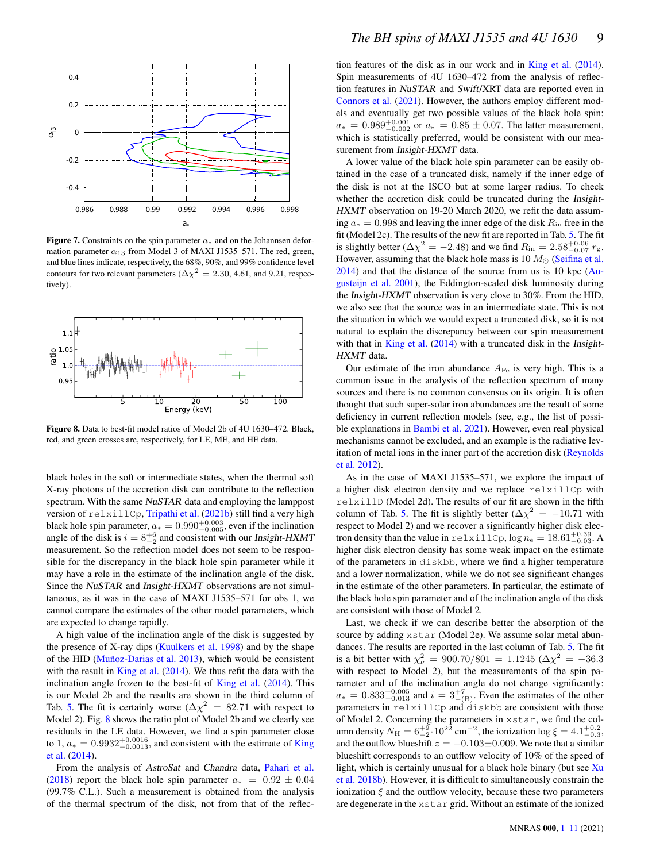

Figure 7. Constraints on the spin parameter  $a_*$  and on the Johannsen deformation parameter  $\alpha_{13}$  from Model 3 of MAXI J1535–571. The red, green, and blue lines indicate, respectively, the 68%, 90%, and 99% confidence level contours for two relevant parameters ( $\Delta \chi^2 = 2.30, 4.61$ , and 9.21, respectively).



Figure 8. Data to best-fit model ratios of Model 2b of 4U 1630–472. Black, red, and green crosses are, respectively, for LE, ME, and HE data.

black holes in the soft or intermediate states, when the thermal soft X-ray photons of the accretion disk can contribute to the reflection spectrum. With the same NuSTAR data and employing the lamppost version of relxillCp, [Tripathi et al.](#page-9-12) [\(2021b\)](#page-9-12) still find a very high black hole spin parameter,  $a_* = 0.990^{+0.003}_{-0.005}$ , even if the inclination angle of the disk is  $i = 8^{+6}_{-2}$  and consistent with our Insight-HXMT measurement. So the reflection model does not seem to be responsible for the discrepancy in the black hole spin parameter while it may have a role in the estimate of the inclination angle of the disk. Since the NuSTAR and Insight-HXMT observations are not simultaneous, as it was in the case of MAXI J1535–571 for obs 1, we cannot compare the estimates of the other model parameters, which are expected to change rapidly.

A high value of the inclination angle of the disk is suggested by the presence of X-ray dips [\(Kuulkers et al.](#page-9-63) [1998\)](#page-9-63) and by the shape of the HID [\(Muñoz-Darias et al.](#page-9-64) [2013\)](#page-9-64), which would be consistent with the result in [King et al.](#page-9-15)  $(2014)$ . We thus refit the data with the inclination angle frozen to the best-fit of [King et al.](#page-9-15) [\(2014\)](#page-9-15). This is our Model 2b and the results are shown in the third column of Tab. [5.](#page-6-0) The fit is certainly worse ( $\Delta \chi^2 = 82.71$  with respect to Model 2). Fig. [8](#page-8-0) shows the ratio plot of Model 2b and we clearly see residuals in the LE data. However, we find a spin parameter close to 1,  $a_* = 0.9932^{+0.0016}_{-0.0013}$ , and consistent with the estimate of [King](#page-9-15) [et al.](#page-9-15) [\(2014\)](#page-9-15).

From the analysis of AstroSat and Chandra data, [Pahari et al.](#page-9-65) [\(2018\)](#page-9-65) report the black hole spin parameter  $a_* = 0.92 \pm 0.04$ (99.7% C.L.). Such a measurement is obtained from the analysis of the thermal spectrum of the disk, not from that of the reflection features of the disk as in our work and in [King et al.](#page-9-15) [\(2014\)](#page-9-15). Spin measurements of 4U 1630–472 from the analysis of reflection features in NuSTAR and Swift/XRT data are reported even in [Connors et al.](#page-9-66) [\(2021\)](#page-9-66). However, the authors employ different models and eventually get two possible values of the black hole spin:  $a_* = 0.989^{+0.001}_{-0.002}$  or  $a_* = 0.85 \pm 0.07$ . The latter measurement, which is statistically preferred, would be consistent with our measurement from Insight-HXMT data.

<span id="page-8-1"></span>A lower value of the black hole spin parameter can be easily obtained in the case of a truncated disk, namely if the inner edge of the disk is not at the ISCO but at some larger radius. To check whether the accretion disk could be truncated during the Insight-HXMT observation on 19-20 March 2020, we refit the data assuming  $a_* = 0.998$  and leaving the inner edge of the disk  $R_{in}$  free in the fit (Model 2c). The results of the new fit are reported in Tab. [5.](#page-6-0) The fit is slightly better ( $\Delta \chi^2 = -2.48$ ) and we find  $R_{\rm in} = 2.58^{+0.06}_{-0.07} r_{\rm g}$ . However, assuming that the black hole mass is 10  $M_{\odot}$  [\(Seifina et al.](#page-9-27) [2014\)](#page-9-27) and that the distance of the source from us is 10 kpc [\(Au](#page-9-28)[gusteijn et al.](#page-9-28) [2001\)](#page-9-28), the Eddington-scaled disk luminosity during the Insight-HXMT observation is very close to 30%. From the HID, we also see that the source was in an intermediate state. This is not the situation in which we would expect a truncated disk, so it is not natural to explain the discrepancy between our spin measurement with that in [King et al.](#page-9-15) [\(2014\)](#page-9-15) with a truncated disk in the Insight-HXMT data.

<span id="page-8-0"></span>Our estimate of the iron abundance  $A_{\text{Fe}}$  is very high. This is a common issue in the analysis of the reflection spectrum of many sources and there is no common consensus on its origin. It is often thought that such super-solar iron abundances are the result of some deficiency in current reflection models (see, e.g., the list of possible explanations in [Bambi et al.](#page-9-7) [2021\)](#page-9-7). However, even real physical mechanisms cannot be excluded, and an example is the radiative levitation of metal ions in the inner part of the accretion disk [\(Reynolds](#page-9-67) [et al.](#page-9-67) [2012\)](#page-9-67).

As in the case of MAXI J1535–571, we explore the impact of a higher disk electron density and we replace relxillCp with relxillD (Model 2d). The results of our fit are shown in the fifth column of Tab. [5.](#page-6-0) The fit is slightly better ( $\Delta \chi^2 = -10.71$  with respect to Model 2) and we recover a significantly higher disk electron density than the value in relxillCp,  $log n_e = 18.61^{+0.39}_{-0.03}$ . higher disk electron density has some weak impact on the estimate of the parameters in diskbb, where we find a higher temperature and a lower normalization, while we do not see significant changes in the estimate of the other parameters. In particular, the estimate of the black hole spin parameter and of the inclination angle of the disk are consistent with those of Model 2.

Last, we check if we can describe better the absorption of the source by adding xstar (Model 2e). We assume solar metal abundances. The results are reported in the last column of Tab. [5.](#page-6-0) The fit is a bit better with  $\chi^2_{\nu} = 900.70/801 = 1.1245 \, (\Delta \chi^2 = -36.3)$ with respect to Model 2), but the measurements of the spin parameter and of the inclination angle do not change significantly:  $a_*=0.833^{+0.005}_{-0.013}$  and  $i=3^{+7}_{- (B)}$ . Even the estimates of the other parameters in relxillCp and diskbb are consistent with those of Model 2. Concerning the parameters in xstar, we find the column density  $N_{\rm H} = 6^{+9}_{-2} \cdot 10^{22}$  cm<sup>-2</sup>, the ionization  $\log \xi = 4.1^{+0.2}_{-0.3}$ , and the outflow blueshift  $z = -0.103\pm0.009$ . We note that a similar blueshift corresponds to an outflow velocity of 10% of the speed of light, which is certainly unusual for a black hole binary (but see  $Xu$ [et al.](#page-9-52) [2018b\)](#page-9-52). However, it is difficult to simultaneously constrain the ionization  $\xi$  and the outflow velocity, because these two parameters are degenerate in the xstar grid. Without an estimate of the ionized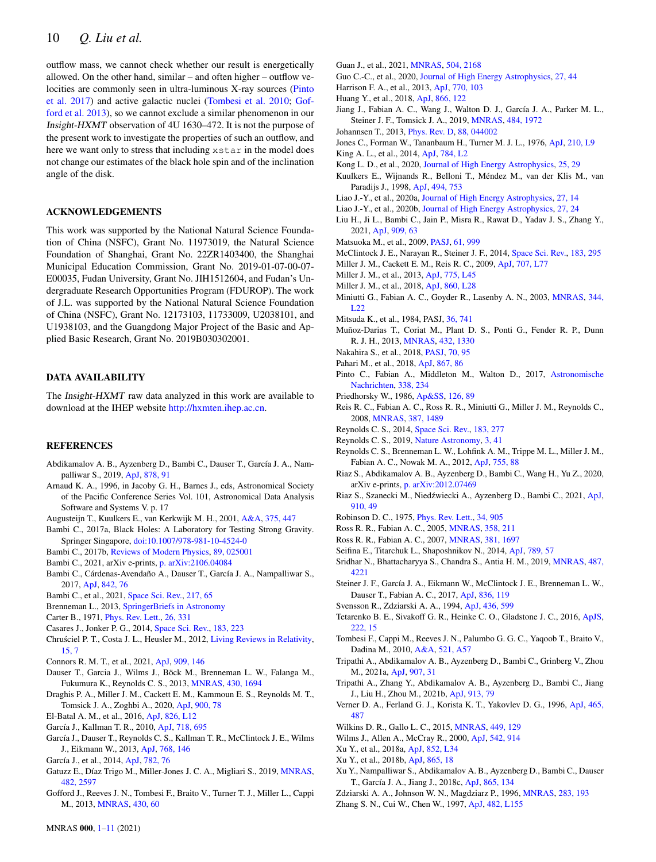outflow mass, we cannot check whether our result is energetically allowed. On the other hand, similar – and often higher – outflow velocities are commonly seen in ultra-luminous X-ray sources [\(Pinto](#page-9-68) [et al.](#page-9-68) [2017\)](#page-9-68) and active galactic nuclei [\(Tombesi et al.](#page-9-69) [2010;](#page-9-69) [Gof](#page-9-70)[ford et al.](#page-9-70) [2013\)](#page-9-70), so we cannot exclude a similar phenomenon in our Insight-HXMT observation of 4U 1630–472. It is not the purpose of the present work to investigate the properties of such an outflow, and here we want only to stress that including xstar in the model does not change our estimates of the black hole spin and of the inclination angle of the disk.

## ACKNOWLEDGEMENTS

This work was supported by the National Natural Science Foundation of China (NSFC), Grant No. 11973019, the Natural Science Foundation of Shanghai, Grant No. 22ZR1403400, the Shanghai Municipal Education Commission, Grant No. 2019-01-07-00-07- E00035, Fudan University, Grant No. JIH1512604, and Fudan's Undergraduate Research Opportunities Program (FDUROP). The work of J.L. was supported by the National Natural Science Foundation of China (NSFC), Grant No. 12173103, 11733009, U2038101, and U1938103, and the Guangdong Major Project of the Basic and Applied Basic Research, Grant No. 2019B030302001.

## DATA AVAILABILITY

The Insight-HXMT raw data analyzed in this work are available to download at the IHEP website [http://hxmten.ihep.ac.cn.](http://hxmten.ihep.ac.cn)

## **REFERENCES**

- <span id="page-9-57"></span>Abdikamalov A. B., Ayzenberg D., Bambi C., Dauser T., García J. A., Nampalliwar S., 2019, [ApJ,](http://dx.doi.org/10.3847/1538-4357/ab1f89) [878, 91](https://ui.adsabs.harvard.edu/abs/2019ApJ...878...91A)
- <span id="page-9-32"></span>Arnaud K. A., 1996, in Jacoby G. H., Barnes J., eds, Astronomical Society of the Pacific Conference Series Vol. 101, Astronomical Data Analysis Software and Systems V. p. 17
- <span id="page-9-28"></span>Augusteijn T., Kuulkers E., van Kerkwijk M. H., 2001, [A&A,](http://dx.doi.org/10.1051/0004-6361:20010855) [375, 447](https://ui.adsabs.harvard.edu/abs/2001A&A...375..447A)
- <span id="page-9-3"></span>Bambi C., 2017a, Black Holes: A Laboratory for Testing Strong Gravity. Springer Singapore, [doi:10.1007/978-981-10-4524-0](http://dx.doi.org/10.1007/978-981-10-4524-0)
- <span id="page-9-11"></span>Bambi C., 2017b, [Reviews of Modern Physics,](http://dx.doi.org/10.1103/RevModPhys.89.025001) [89, 025001](https://ui.adsabs.harvard.edu/abs/2017RvMP...89b5001B)
- <span id="page-9-58"></span>Bambi C., 2021, arXiv e-prints, [p. arXiv:2106.04084](https://ui.adsabs.harvard.edu/abs/2021arXiv210604084B)
- <span id="page-9-56"></span>Bambi C., Cárdenas-Avendaño A., Dauser T., García J. A., Nampalliwar S., 2017, [ApJ,](http://dx.doi.org/10.3847/1538-4357/aa74c0) [842, 76](https://ui.adsabs.harvard.edu/abs/2017ApJ...842...76B)
- <span id="page-9-7"></span>Bambi C., et al., 2021, [Space Sci. Rev.,](http://dx.doi.org/10.1007/s11214-021-00841-8) [217, 65](https://ui.adsabs.harvard.edu/abs/2021SSRv..217...65B)
- <span id="page-9-8"></span>Brenneman L., 2013, [SpringerBriefs in Astronomy](http://dx.doi.org/10.1007/978-1-4614-7771-6)
- <span id="page-9-0"></span>Carter B., 1971, [Phys. Rev. Lett.,](http://dx.doi.org/10.1103/PhysRevLett.26.331) [26, 331](https://ui.adsabs.harvard.edu/abs/1971PhRvL..26..331C)
- <span id="page-9-4"></span>Casares J., Jonker P. G., 2014, [Space Sci. Rev.,](http://dx.doi.org/10.1007/s11214-013-0030-6) [183, 223](https://ui.adsabs.harvard.edu/abs/2014SSRv..183..223C)
- <span id="page-9-2"></span>Chruściel P. T., Costa J. L., Heusler M., 2012, [Living Reviews in Relativity,](http://dx.doi.org/10.12942/lrr-2012-7) [15, 7](https://ui.adsabs.harvard.edu/abs/2012LRR....15....7C)
- <span id="page-9-66"></span>Connors R. M. T., et al., 2021, [ApJ,](http://dx.doi.org/10.3847/1538-4357/abdd2c) [909, 146](https://ui.adsabs.harvard.edu/abs/2021ApJ...909..146C)
- <span id="page-9-39"></span>Dauser T., Garcia J., Wilms J., Böck M., Brenneman L. W., Falanga M., Fukumura K., Reynolds C. S., 2013, [MNRAS,](http://dx.doi.org/10.1093/mnras/sts710) [430, 1694](https://ui.adsabs.harvard.edu/abs/2013MNRAS.430.1694D)
- <span id="page-9-53"></span>Draghis P. A., Miller J. M., Cackett E. M., Kammoun E. S., Reynolds M. T., Tomsick J. A., Zoghbi A., 2020, [ApJ,](http://dx.doi.org/10.3847/1538-4357/aba2ec) [900, 78](https://ui.adsabs.harvard.edu/abs/2020ApJ...900...78D)
- <span id="page-9-44"></span>El-Batal A. M., et al., 2016, [ApJ,](http://dx.doi.org/10.3847/2041-8205/826/1/L12) [826, L12](https://ui.adsabs.harvard.edu/abs/2016ApJ...826L..12E)
- <span id="page-9-10"></span>García J., Kallman T. R., 2010, [ApJ,](http://dx.doi.org/10.1088/0004-637X/718/2/695) [718, 695](https://ui.adsabs.harvard.edu/abs/2010ApJ...718..695G)
- <span id="page-9-40"></span>García J., Dauser T., Reynolds C. S., Kallman T. R., McClintock J. E., Wilms J., Eikmann W., 2013, [ApJ,](http://dx.doi.org/10.1088/0004-637X/768/2/146) [768, 146](https://ui.adsabs.harvard.edu/abs/2013ApJ...768..146G)
- <span id="page-9-41"></span>García J., et al., 2014, [ApJ,](http://dx.doi.org/10.1088/0004-637X/782/2/76) [782, 76](https://ui.adsabs.harvard.edu/abs/2014ApJ...782...76G)
- <span id="page-9-26"></span>Gatuzz E., Díaz Trigo M., Miller-Jones J. C. A., Migliari S., 2019, [MNRAS,](http://dx.doi.org/10.1093/mnras/sty2850) [482, 2597](https://ui.adsabs.harvard.edu/abs/2019MNRAS.482.2597G)
- <span id="page-9-70"></span>Gofford J., Reeves J. N., Tombesi F., Braito V., Turner T. J., Miller L., Cappi M., 2013, [MNRAS,](http://dx.doi.org/10.1093/mnras/sts481) [430, 60](https://ui.adsabs.harvard.edu/abs/2013MNRAS.430...60G)
- <span id="page-9-34"></span>Guan J., et al., 2021, [MNRAS,](http://dx.doi.org/10.1093/mnras/stab945) [504, 2168](https://ui.adsabs.harvard.edu/abs/2021MNRAS.504.2168G)
- <span id="page-9-30"></span>Guo C.-C., et al., 2020, [Journal of High Energy Astrophysics,](http://dx.doi.org/10.1016/j.jheap.2020.02.008) [27, 44](https://ui.adsabs.harvard.edu/abs/2020JHEAp..27...44G)
- <span id="page-9-16"></span>Harrison F. A., et al., 2013, [ApJ,](http://dx.doi.org/10.1088/0004-637X/770/2/103) [770, 103](https://ui.adsabs.harvard.edu/abs/2013ApJ...770..103H)
- <span id="page-9-13"></span>Huang Y., et al., 2018, [ApJ,](http://dx.doi.org/10.3847/1538-4357/aade4c) [866, 122](https://ui.adsabs.harvard.edu/abs/2018ApJ...866..122H)
- <span id="page-9-50"></span>Jiang J., Fabian A. C., Wang J., Walton D. J., García J. A., Parker M. L., Steiner J. F., Tomsick J. A., 2019, [MNRAS,](http://dx.doi.org/10.1093/mnras/stz095) [484, 1972](https://ui.adsabs.harvard.edu/abs/2019MNRAS.484.1972J)
- <span id="page-9-59"></span>Johannsen T., 2013, [Phys. Rev. D,](http://dx.doi.org/10.1103/PhysRevD.88.044002) [88, 044002](https://ui.adsabs.harvard.edu/abs/2013PhRvD..88d4002J)
- <span id="page-9-24"></span>Jones C., Forman W., Tananbaum H., Turner M. J. L., 1976, [ApJ,](http://dx.doi.org/10.1086/182291) [210, L9](https://ui.adsabs.harvard.edu/abs/1976ApJ...210L...9J)
- <span id="page-9-15"></span>King A. L., et al., 2014, [ApJ,](http://dx.doi.org/10.1088/2041-8205/784/1/L2) [784, L2](https://ui.adsabs.harvard.edu/abs/2014ApJ...784L...2K)
- <span id="page-9-19"></span>Kong L. D., et al., 2020, [Journal of High Energy Astrophysics,](http://dx.doi.org/10.1016/j.jheap.2020.01.003) [25, 29](https://ui.adsabs.harvard.edu/abs/2020JHEAp..25...29K)
- <span id="page-9-63"></span>Kuulkers E., Wijnands R., Belloni T., Méndez M., van der Klis M., van Paradijs J., 1998, [ApJ,](http://dx.doi.org/10.1086/305248) [494, 753](https://ui.adsabs.harvard.edu/abs/1998ApJ...494..753K)
- <span id="page-9-31"></span>Liao J.-Y., et al., 2020a, [Journal of High Energy Astrophysics,](http://dx.doi.org/10.1016/j.jheap.2020.04.002) [27, 14](https://ui.adsabs.harvard.edu/abs/2020JHEAp..27...14L)
- <span id="page-9-29"></span>Liao J.-Y., et al., 2020b, [Journal of High Energy Astrophysics,](http://dx.doi.org/10.1016/j.jheap.2020.02.010) [27, 24](https://ui.adsabs.harvard.edu/abs/2020JHEAp..27...24L)
- <span id="page-9-33"></span>Liu H., Ji L., Bambi C., Jain P., Misra R., Rawat D., Yadav J. S., Zhang Y., 2021, [ApJ,](http://dx.doi.org/10.3847/1538-4357/abdf65) [909, 63](https://ui.adsabs.harvard.edu/abs/2021ApJ...909...63L)
- <span id="page-9-20"></span>Matsuoka M., et al., 2009, [PASJ,](http://dx.doi.org/10.1093/pasj/61.5.999) [61, 999](https://ui.adsabs.harvard.edu/abs/2009PASJ...61..999M)
- <span id="page-9-18"></span>McClintock J. E., Narayan R., Steiner J. F., 2014, [Space Sci. Rev.,](http://dx.doi.org/10.1007/s11214-013-0003-9) [183, 295](https://ui.adsabs.harvard.edu/abs/2014SSRv..183..295M)
- <span id="page-9-43"></span>Miller J. M., Cackett E. M., Reis R. C., 2009, [ApJ,](http://dx.doi.org/10.1088/0004-637X/707/1/L77) [707, L77](https://ui.adsabs.harvard.edu/abs/2009ApJ...707L..77M)
- <span id="page-9-46"></span>Miller J. M., et al., 2013, [ApJ,](http://dx.doi.org/10.1088/2041-8205/775/2/L45) [775, L45](https://ui.adsabs.harvard.edu/abs/2013ApJ...775L..45M)
- <span id="page-9-42"></span>Miller J. M., et al., 2018, [ApJ,](http://dx.doi.org/10.3847/2041-8213/aacc61) [860, L28](https://ui.adsabs.harvard.edu/abs/2018ApJ...860L..28M)
- <span id="page-9-47"></span>Miniutti G., Fabian A. C., Goyder R., Lasenby A. N., 2003, [MNRAS,](http://dx.doi.org/10.1046/j.1365-8711.2003.06988.x) [344,](https://ui.adsabs.harvard.edu/abs/2003MNRAS.344L..22M)  $L22$
- <span id="page-9-38"></span>Mitsuda K., et al., 1984, PASJ, [36, 741](https://ui.adsabs.harvard.edu/abs/1984PASJ...36..741M)
- <span id="page-9-64"></span>Muñoz-Darias T., Coriat M., Plant D. S., Ponti G., Fender R. P., Dunn R. J. H., 2013, [MNRAS,](http://dx.doi.org/10.1093/mnras/stt546) [432, 1330](https://ui.adsabs.harvard.edu/abs/2013MNRAS.432.1330M)
- <span id="page-9-21"></span>Nakahira S., et al., 2018, [PASJ,](http://dx.doi.org/10.1093/pasj/psy093) [70, 95](https://ui.adsabs.harvard.edu/abs/2018PASJ...70...95N)
- <span id="page-9-65"></span>Pahari M., et al., 2018, [ApJ,](http://dx.doi.org/10.3847/1538-4357/aae53b) [867, 86](https://ui.adsabs.harvard.edu/abs/2018ApJ...867...86P)
- <span id="page-9-68"></span>Pinto C., Fabian A., Middleton M., Walton D., 2017, [Astronomische](http://dx.doi.org/10.1002/asna.201713336) [Nachrichten,](http://dx.doi.org/10.1002/asna.201713336) [338, 234](https://ui.adsabs.harvard.edu/abs/2017AN....338..234P)
- <span id="page-9-23"></span>Priedhorsky W., 1986, [Ap&SS,](http://dx.doi.org/10.1007/BF00644177) [126, 89](https://ui.adsabs.harvard.edu/abs/1986Ap&SS.126...89P)
- <span id="page-9-62"></span>Reis R. C., Fabian A. C., Ross R. R., Miniutti G., Miller J. M., Reynolds C., 2008, [MNRAS,](http://dx.doi.org/10.1111/j.1365-2966.2008.13358.x) [387, 1489](https://ui.adsabs.harvard.edu/abs/2008MNRAS.387.1489R)
- <span id="page-9-5"></span>Reynolds C. S., 2014, [Space Sci. Rev.,](http://dx.doi.org/10.1007/s11214-013-0006-6) [183, 277](https://ui.adsabs.harvard.edu/abs/2014SSRv..183..277R)
- <span id="page-9-6"></span>Reynolds C. S., 2019, [Nature Astronomy,](http://dx.doi.org/10.1038/s41550-018-0665-z) [3, 41](https://ui.adsabs.harvard.edu/abs/2019NatAs...3...41R)
- <span id="page-9-67"></span>Reynolds C. S., Brenneman L. W., Lohfink A. M., Trippe M. L., Miller J. M., Fabian A. C., Nowak M. A., 2012, [ApJ,](http://dx.doi.org/10.1088/0004-637X/755/2/88) [755, 88](https://ui.adsabs.harvard.edu/abs/2012ApJ...755...88R)
- <span id="page-9-49"></span>Riaz S., Abdikamalov A. B., Ayzenberg D., Bambi C., Wang H., Yu Z., 2020, arXiv e-prints, [p. arXiv:2012.07469](https://ui.adsabs.harvard.edu/abs/2020arXiv201207469R)
- <span id="page-9-54"></span>Riaz S., Szanecki M., Niedźwiecki A., Ayzenberg D., Bambi C., 2021, [ApJ,](http://dx.doi.org/10.3847/1538-4357/abe2a3) [910, 49](https://ui.adsabs.harvard.edu/abs/2021ApJ...910...49R)
- <span id="page-9-1"></span>Robinson D. C., 1975, [Phys. Rev. Lett.,](http://dx.doi.org/10.1103/PhysRevLett.34.905) [34, 905](https://ui.adsabs.harvard.edu/abs/1975PhRvL..34..905R)
- <span id="page-9-9"></span>Ross R. R., Fabian A. C., 2005, [MNRAS,](http://dx.doi.org/10.1111/j.1365-2966.2005.08797.x) [358, 211](https://ui.adsabs.harvard.edu/abs/2005MNRAS.358..211R)
- <span id="page-9-61"></span>Ross R. R., Fabian A. C., 2007, [MNRAS,](http://dx.doi.org/10.1111/j.1365-2966.2007.12339.x) [381, 1697](https://ui.adsabs.harvard.edu/abs/2007MNRAS.381.1697R)
- <span id="page-9-27"></span>Seifina E., Titarchuk L., Shaposhnikov N., 2014, [ApJ,](http://dx.doi.org/10.1088/0004-637X/789/1/57) [789, 57](https://ui.adsabs.harvard.edu/abs/2014ApJ...789...57S)
- <span id="page-9-22"></span>Sridhar N., Bhattacharyya S., Chandra S., Antia H. M., 2019, [MNRAS,](http://dx.doi.org/10.1093/mnras/stz1476) [487,](https://ui.adsabs.harvard.edu/abs/2019MNRAS.487.4221S) [4221](https://ui.adsabs.harvard.edu/abs/2019MNRAS.487.4221S)
- <span id="page-9-55"></span>Steiner J. F., García J. A., Eikmann W., McClintock J. E., Brenneman L. W., Dauser T., Fabian A. C., 2017, [ApJ,](http://dx.doi.org/10.3847/1538-4357/836/1/119) [836, 119](https://ui.adsabs.harvard.edu/abs/2017ApJ...836..119S)
- <span id="page-9-51"></span>Svensson R., Zdziarski A. A., 1994, [ApJ,](http://dx.doi.org/10.1086/174934) [436, 599](https://ui.adsabs.harvard.edu/abs/1994ApJ...436..599S)
- <span id="page-9-25"></span>Tetarenko B. E., Sivakoff G. R., Heinke C. O., Gladstone J. C., 2016, [ApJS,](http://dx.doi.org/10.3847/0067-0049/222/2/15) [222, 15](https://ui.adsabs.harvard.edu/abs/2016ApJS..222...15T)
- <span id="page-9-69"></span>Tombesi F., Cappi M., Reeves J. N., Palumbo G. G. C., Yaqoob T., Braito V., Dadina M., 2010, [A&A,](http://dx.doi.org/10.1051/0004-6361/200913440) [521, A57](https://ui.adsabs.harvard.edu/abs/2010A&A...521A..57T)
- <span id="page-9-60"></span>Tripathi A., Abdikamalov A. B., Ayzenberg D., Bambi C., Grinberg V., Zhou M., 2021a, [ApJ,](http://dx.doi.org/10.3847/1538-4357/abccbd) [907, 31](https://ui.adsabs.harvard.edu/abs/2021ApJ...907...31T)
- <span id="page-9-12"></span>Tripathi A., Zhang Y., Abdikamalov A. B., Ayzenberg D., Bambi C., Jiang J., Liu H., Zhou M., 2021b, [ApJ,](http://dx.doi.org/10.3847/1538-4357/abf6cd) [913, 79](https://ui.adsabs.harvard.edu/abs/2021ApJ...913...79T)
- <span id="page-9-36"></span>Verner D. A., Ferland G. J., Korista K. T., Yakovlev D. G., 1996, [ApJ,](http://dx.doi.org/10.1086/177435) [465,](https://ui.adsabs.harvard.edu/abs/1996ApJ...465..487V) [487](https://ui.adsabs.harvard.edu/abs/1996ApJ...465..487V)
- <span id="page-9-48"></span>Wilkins D. R., Gallo L. C., 2015, [MNRAS,](http://dx.doi.org/10.1093/mnras/stv162) [449, 129](https://ui.adsabs.harvard.edu/abs/2015MNRAS.449..129W)
- <span id="page-9-35"></span>Wilms J., Allen A., McCray R., 2000, [ApJ,](http://dx.doi.org/10.1086/317016) [542, 914](https://ui.adsabs.harvard.edu/abs/2000ApJ...542..914W)
- <span id="page-9-14"></span>Xu Y., et al., 2018a, [ApJ,](http://dx.doi.org/10.3847/2041-8213/aaa4b2) [852, L34](https://ui.adsabs.harvard.edu/abs/2018ApJ...852L..34X)
- <span id="page-9-52"></span>Xu Y., et al., 2018b, [ApJ,](http://dx.doi.org/10.3847/1538-4357/aada03) [865, 18](https://ui.adsabs.harvard.edu/abs/2018ApJ...865...18X)
- <span id="page-9-45"></span>Xu Y., Nampalliwar S., Abdikamalov A. B., Ayzenberg D., Bambi C., Dauser T., García J. A., Jiang J., 2018c, [ApJ,](http://dx.doi.org/10.3847/1538-4357/aadb9d) [865, 134](https://ui.adsabs.harvard.edu/abs/2018ApJ...865..134X)
- <span id="page-9-37"></span>Zdziarski A. A., Johnson W. N., Magdziarz P., 1996, [MNRAS,](http://dx.doi.org/10.1093/mnras/283.1.193) [283, 193](https://ui.adsabs.harvard.edu/abs/1996MNRAS.283..193Z)
- <span id="page-9-17"></span>Zhang S. N., Cui W., Chen W., 1997, [ApJ,](http://dx.doi.org/10.1086/310705) [482, L155](https://ui.adsabs.harvard.edu/abs/1997ApJ...482L.155Z)